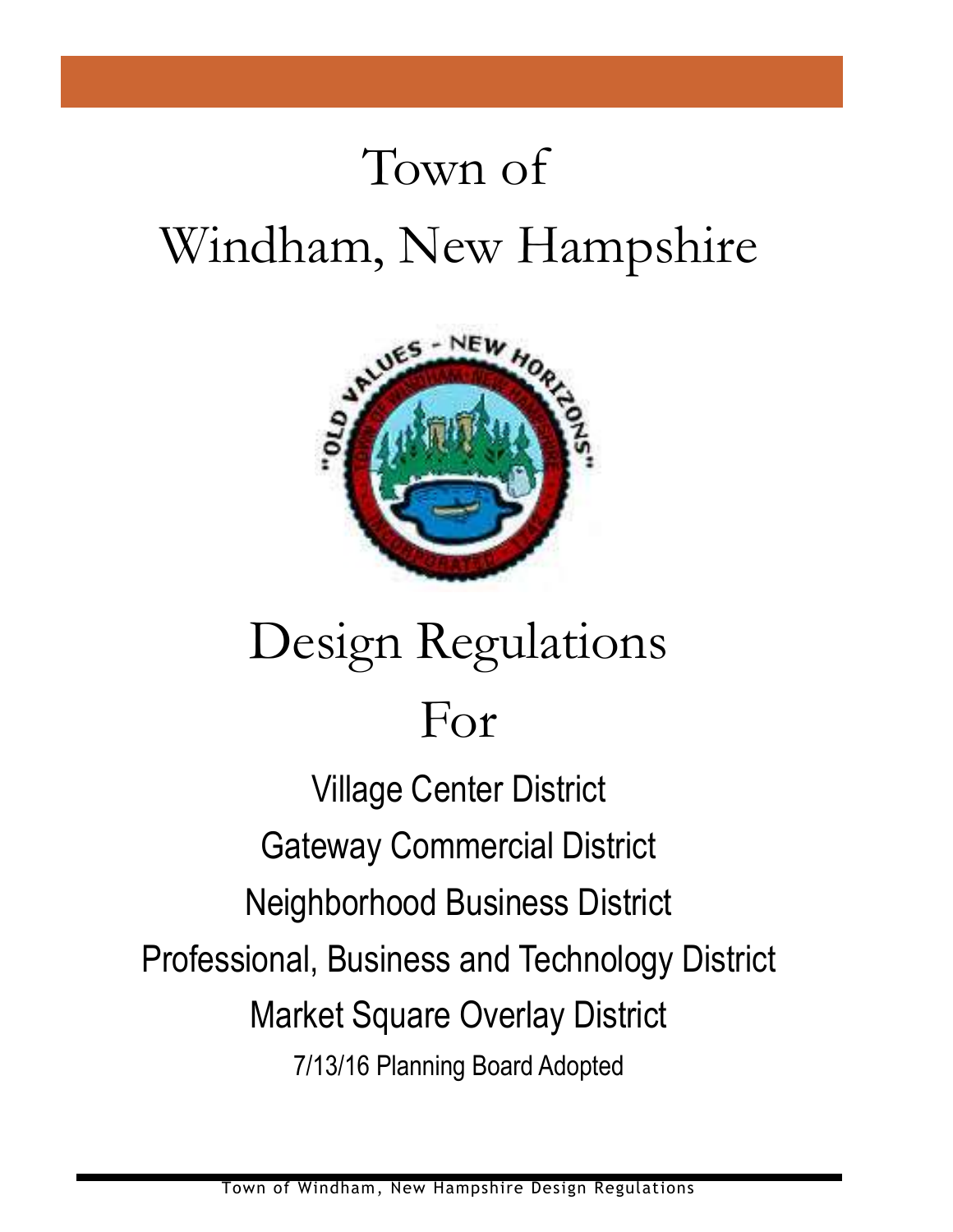# Town of Windham, New Hampshire



# Design Regulations For

Village Center District Gateway Commercial District Neighborhood Business District Professional, Business and Technology District Market Square Overlay District 7/13/16 Planning Board Adopted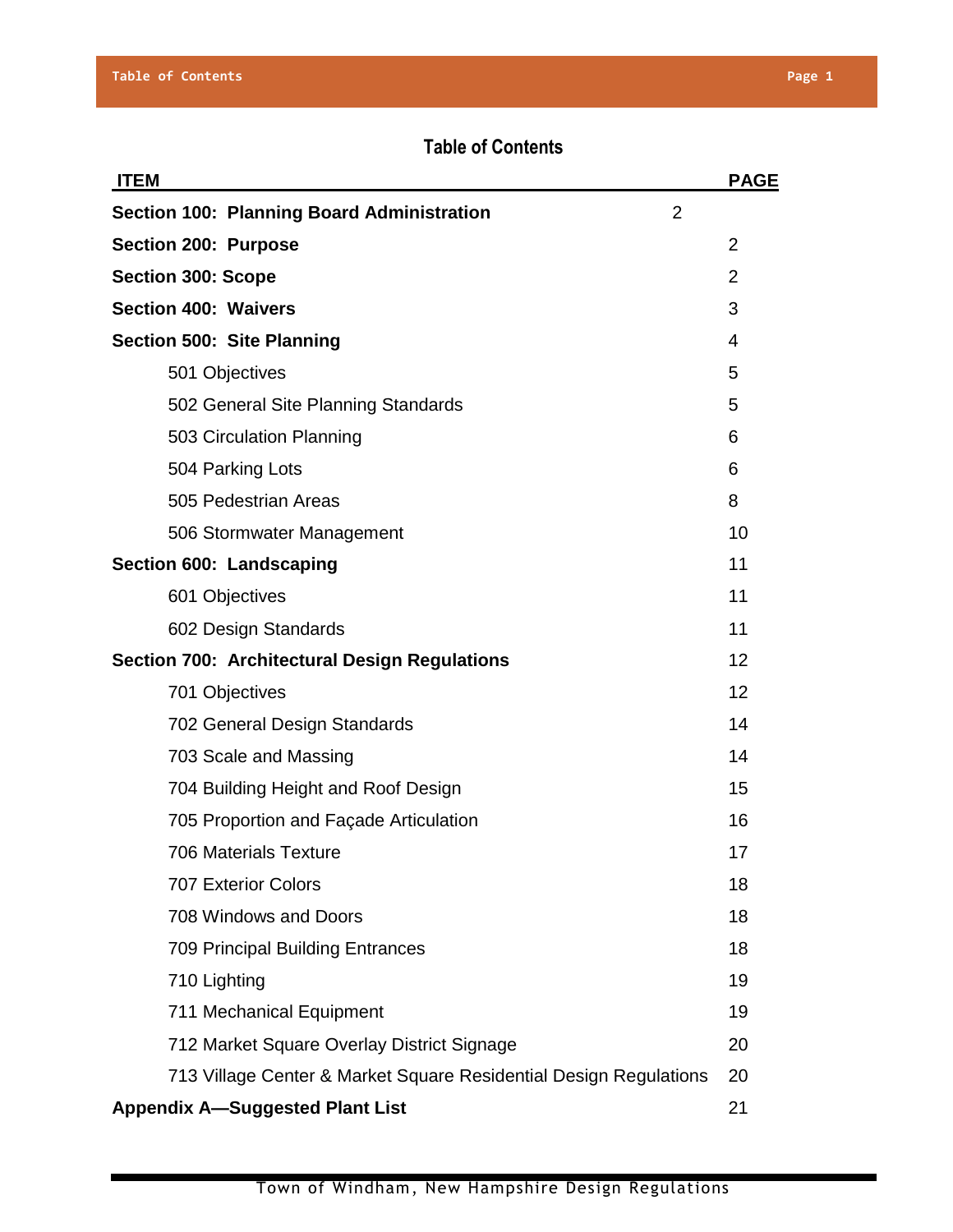# **Table of Contents**

| <b>ITEM</b>                                                       | <b>PAGE</b>    |
|-------------------------------------------------------------------|----------------|
| <b>Section 100: Planning Board Administration</b><br>2            |                |
| Section 200: Purpose                                              | $\overline{2}$ |
| <b>Section 300: Scope</b>                                         | $\overline{2}$ |
| <b>Section 400: Waivers</b>                                       | 3              |
| Section 500: Site Planning                                        | 4              |
| 501 Objectives                                                    | 5              |
| 502 General Site Planning Standards                               | 5              |
| 503 Circulation Planning                                          | 6              |
| 504 Parking Lots                                                  | 6              |
| 505 Pedestrian Areas                                              | 8              |
| 506 Stormwater Management                                         | 10             |
| Section 600: Landscaping                                          | 11             |
| 601 Objectives                                                    | 11             |
| 602 Design Standards                                              | 11             |
| <b>Section 700: Architectural Design Regulations</b>              | 12             |
| 701 Objectives                                                    | 12             |
| 702 General Design Standards                                      | 14             |
| 703 Scale and Massing                                             | 14             |
| 704 Building Height and Roof Design                               | 15             |
| 705 Proportion and Façade Articulation                            | 16             |
| <b>706 Materials Texture</b>                                      | 17             |
| <b>707 Exterior Colors</b>                                        | 18             |
| 708 Windows and Doors                                             | 18             |
| <b>709 Principal Building Entrances</b>                           | 18             |
| 710 Lighting                                                      | 19             |
| 711 Mechanical Equipment                                          | 19             |
| 712 Market Square Overlay District Signage                        | 20             |
| 713 Village Center & Market Square Residential Design Regulations | 20             |
| <b>Appendix A-Suggested Plant List</b>                            | 21             |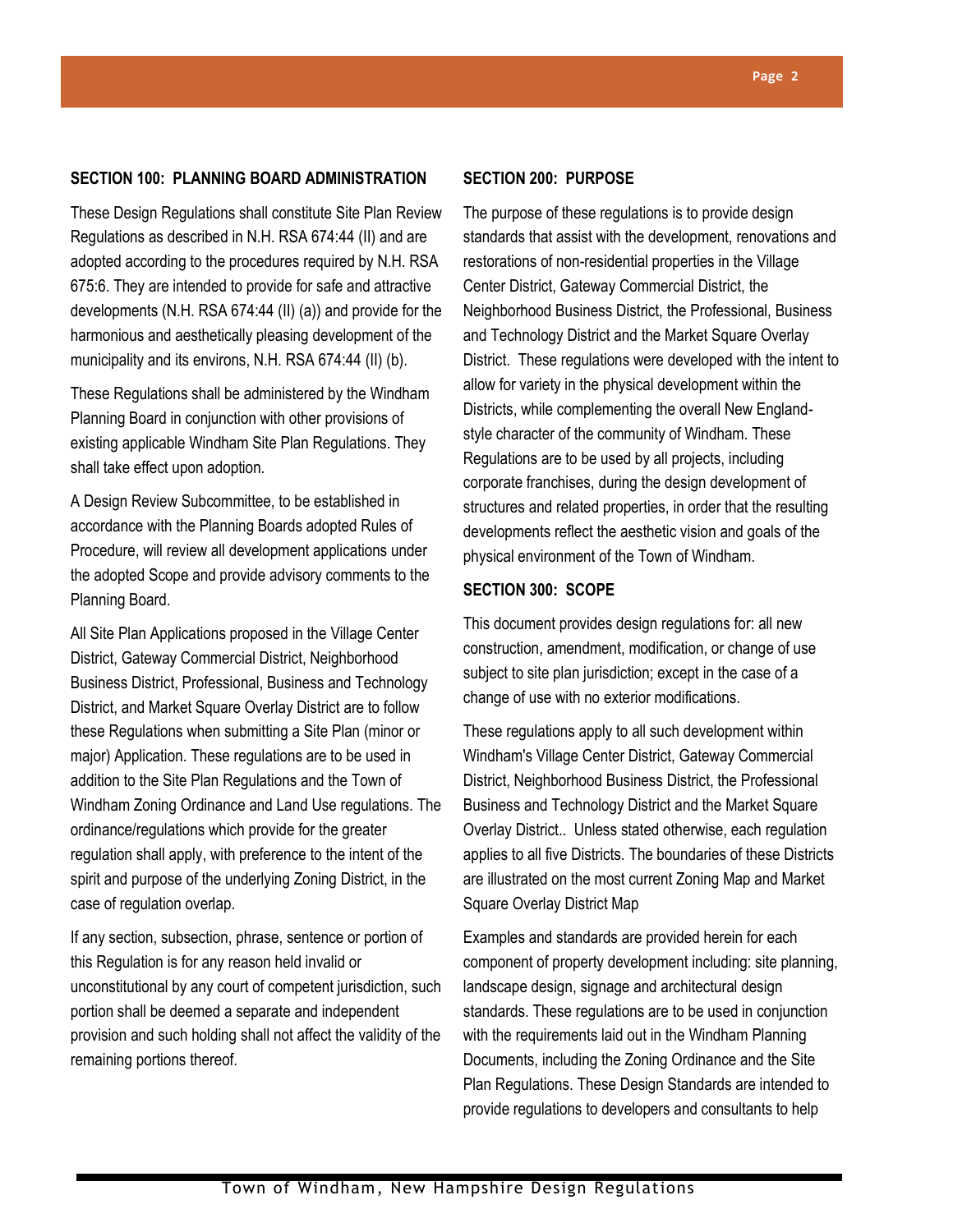# **SECTION 100: PLANNING BOARD ADMINISTRATION**

These Design Regulations shall constitute Site Plan Review Regulations as described in N.H. RSA 674:44 (II) and are adopted according to the procedures required by N.H. RSA 675:6. They are intended to provide for safe and attractive developments (N.H. RSA 674:44 (II) (a)) and provide for the harmonious and aesthetically pleasing development of the municipality and its environs, N.H. RSA 674:44 (II) (b).

These Regulations shall be administered by the Windham Planning Board in conjunction with other provisions of existing applicable Windham Site Plan Regulations. They shall take effect upon adoption.

A Design Review Subcommittee, to be established in accordance with the Planning Boards adopted Rules of Procedure, will review all development applications under the adopted Scope and provide advisory comments to the Planning Board.

All Site Plan Applications proposed in the Village Center District, Gateway Commercial District, Neighborhood Business District, Professional, Business and Technology District, and Market Square Overlay District are to follow these Regulations when submitting a Site Plan (minor or major) Application. These regulations are to be used in addition to the Site Plan Regulations and the Town of Windham Zoning Ordinance and Land Use regulations. The ordinance/regulations which provide for the greater regulation shall apply, with preference to the intent of the spirit and purpose of the underlying Zoning District, in the case of regulation overlap.

If any section, subsection, phrase, sentence or portion of this Regulation is for any reason held invalid or unconstitutional by any court of competent jurisdiction, such portion shall be deemed a separate and independent provision and such holding shall not affect the validity of the remaining portions thereof.

# **SECTION 200: PURPOSE**

The purpose of these regulations is to provide design standards that assist with the development, renovations and restorations of non-residential properties in the Village Center District, Gateway Commercial District, the Neighborhood Business District, the Professional, Business and Technology District and the Market Square Overlay District. These regulations were developed with the intent to allow for variety in the physical development within the Districts, while complementing the overall New Englandstyle character of the community of Windham. These Regulations are to be used by all projects, including corporate franchises, during the design development of structures and related properties, in order that the resulting developments reflect the aesthetic vision and goals of the physical environment of the Town of Windham.

# **SECTION 300: SCOPE**

This document provides design regulations for: all new construction, amendment, modification, or change of use subject to site plan jurisdiction; except in the case of a change of use with no exterior modifications.

These regulations apply to all such development within Windham's Village Center District, Gateway Commercial District, Neighborhood Business District, the Professional Business and Technology District and the Market Square Overlay District.. Unless stated otherwise, each regulation applies to all five Districts. The boundaries of these Districts are illustrated on the most current Zoning Map and Market Square Overlay District Map

Examples and standards are provided herein for each component of property development including: site planning, landscape design, signage and architectural design standards. These regulations are to be used in conjunction with the requirements laid out in the Windham Planning Documents, including the Zoning Ordinance and the Site Plan Regulations. These Design Standards are intended to provide regulations to developers and consultants to help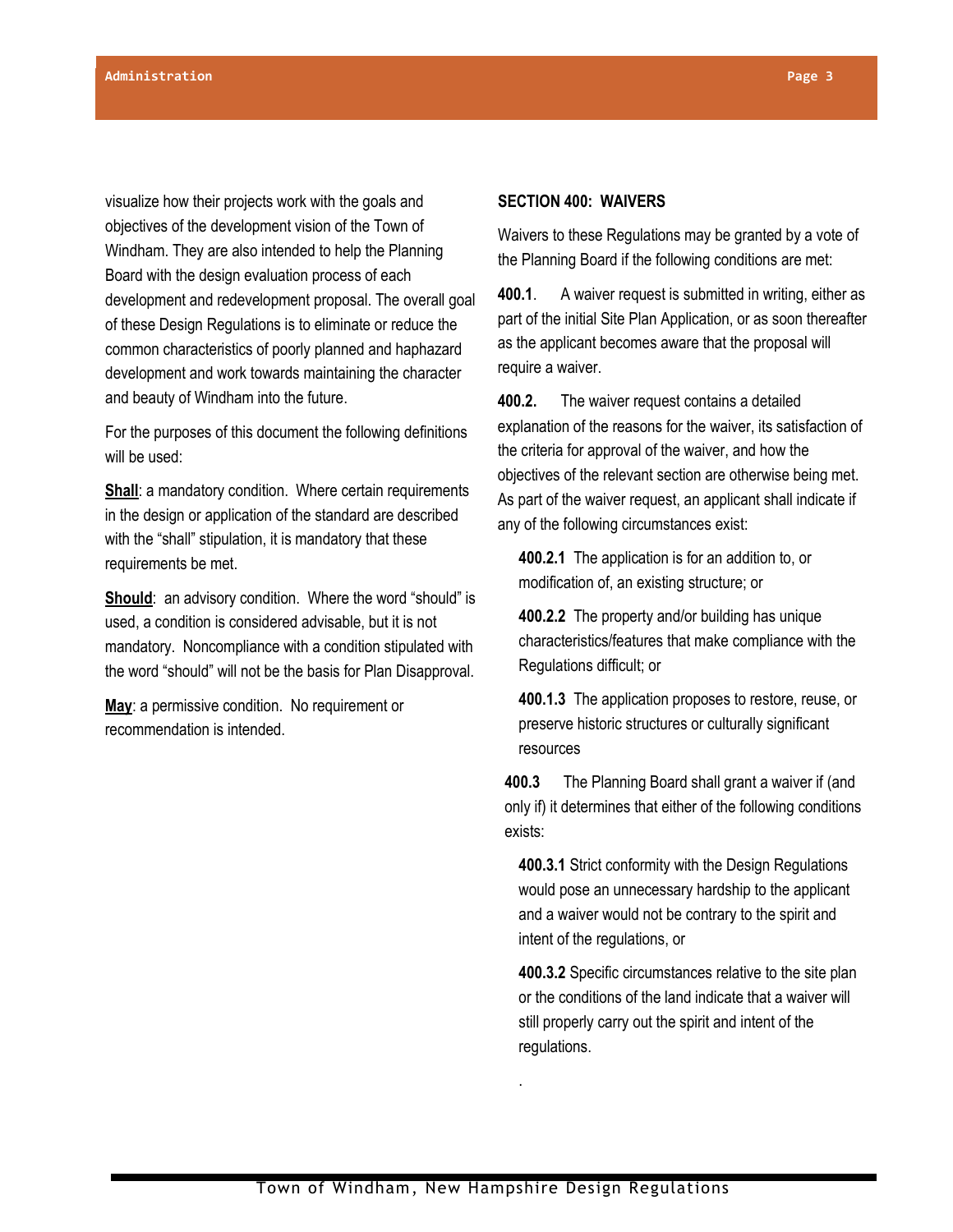visualize how their projects work with the goals and objectives of the development vision of the Town of Windham. They are also intended to help the Planning Board with the design evaluation process of each development and redevelopment proposal. The overall goal of these Design Regulations is to eliminate or reduce the common characteristics of poorly planned and haphazard development and work towards maintaining the character and beauty of Windham into the future.

For the purposes of this document the following definitions will be used:

**Shall:** a mandatory condition. Where certain requirements in the design or application of the standard are described with the "shall" stipulation, it is mandatory that these requirements be met.

**Should:** an advisory condition. Where the word "should" is used, a condition is considered advisable, but it is not mandatory. Noncompliance with a condition stipulated with the word "should" will not be the basis for Plan Disapproval.

**May**: a permissive condition. No requirement or recommendation is intended.

#### **SECTION 400: WAIVERS**

Waivers to these Regulations may be granted by a vote of the Planning Board if the following conditions are met:

**400.1**. A waiver request is submitted in writing, either as part of the initial Site Plan Application, or as soon thereafter as the applicant becomes aware that the proposal will require a waiver.

**400.2.** The waiver request contains a detailed explanation of the reasons for the waiver, its satisfaction of the criteria for approval of the waiver, and how the objectives of the relevant section are otherwise being met. As part of the waiver request, an applicant shall indicate if any of the following circumstances exist:

**400.2.1** The application is for an addition to, or modification of, an existing structure; or

**400.2.2** The property and/or building has unique characteristics/features that make compliance with the Regulations difficult; or

**400.1.3** The application proposes to restore, reuse, or preserve historic structures or culturally significant resources

**400.3** The Planning Board shall grant a waiver if (and only if) it determines that either of the following conditions exists:

**400.3.1** Strict conformity with the Design Regulations would pose an unnecessary hardship to the applicant and a waiver would not be contrary to the spirit and intent of the regulations, or

**400.3.2** Specific circumstances relative to the site plan or the conditions of the land indicate that a waiver will still properly carry out the spirit and intent of the regulations.

.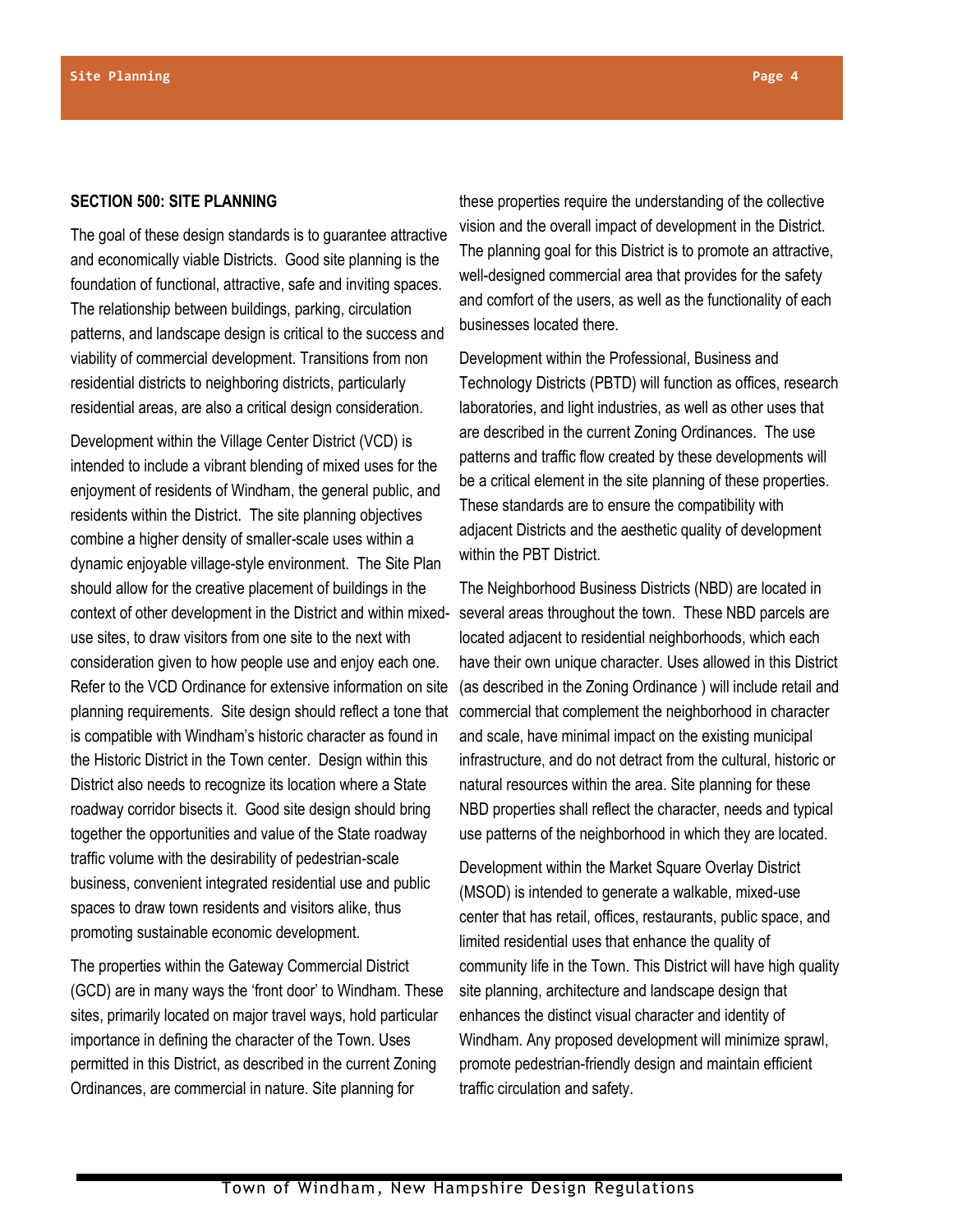#### **SECTION 500: SITE PLANNING**

The goal of these design standards is to guarantee attractive and economically viable Districts. Good site planning is the foundation of functional, attractive, safe and inviting spaces. The relationship between buildings, parking, circulation patterns, and landscape design is critical to the success and viability of commercial development. Transitions from non residential districts to neighboring districts, particularly residential areas, are also a critical design consideration.

Development within the Village Center District (VCD) is intended to include a vibrant blending of mixed uses for the enjoyment of residents of Windham, the general public, and residents within the District. The site planning objectives combine a higher density of smaller-scale uses within a dynamic enjoyable village-style environment. The Site Plan should allow for the creative placement of buildings in the context of other development in the District and within mixeduse sites, to draw visitors from one site to the next with consideration given to how people use and enjoy each one. Refer to the VCD Ordinance for extensive information on site planning requirements. Site design should reflect a tone that is compatible with Windham's historic character as found in the Historic District in the Town center. Design within this District also needs to recognize its location where a State roadway corridor bisects it. Good site design should bring together the opportunities and value of the State roadway traffic volume with the desirability of pedestrian-scale business, convenient integrated residential use and public spaces to draw town residents and visitors alike, thus promoting sustainable economic development.

The properties within the Gateway Commercial District (GCD) are in many ways the 'front door' to Windham. These sites, primarily located on major travel ways, hold particular importance in defining the character of the Town. Uses permitted in this District, as described in the current Zoning Ordinances, are commercial in nature. Site planning for

these properties require the understanding of the collective vision and the overall impact of development in the District. The planning goal for this District is to promote an attractive, well-designed commercial area that provides for the safety and comfort of the users, as well as the functionality of each businesses located there.

Development within the Professional, Business and Technology Districts (PBTD) will function as offices, research laboratories, and light industries, as well as other uses that are described in the current Zoning Ordinances. The use patterns and traffic flow created by these developments will be a critical element in the site planning of these properties. These standards are to ensure the compatibility with adjacent Districts and the aesthetic quality of development within the PBT District.

The Neighborhood Business Districts (NBD) are located in several areas throughout the town. These NBD parcels are located adjacent to residential neighborhoods, which each have their own unique character. Uses allowed in this District (as described in the Zoning Ordinance ) will include retail and commercial that complement the neighborhood in character and scale, have minimal impact on the existing municipal infrastructure, and do not detract from the cultural, historic or natural resources within the area. Site planning for these NBD properties shall reflect the character, needs and typical use patterns of the neighborhood in which they are located.

Development within the Market Square Overlay District (MSOD) is intended to generate a walkable, mixed-use center that has retail, offices, restaurants, public space, and limited residential uses that enhance the quality of community life in the Town. This District will have high quality site planning, architecture and landscape design that enhances the distinct visual character and identity of Windham. Any proposed development will minimize sprawl, promote pedestrian-friendly design and maintain efficient traffic circulation and safety.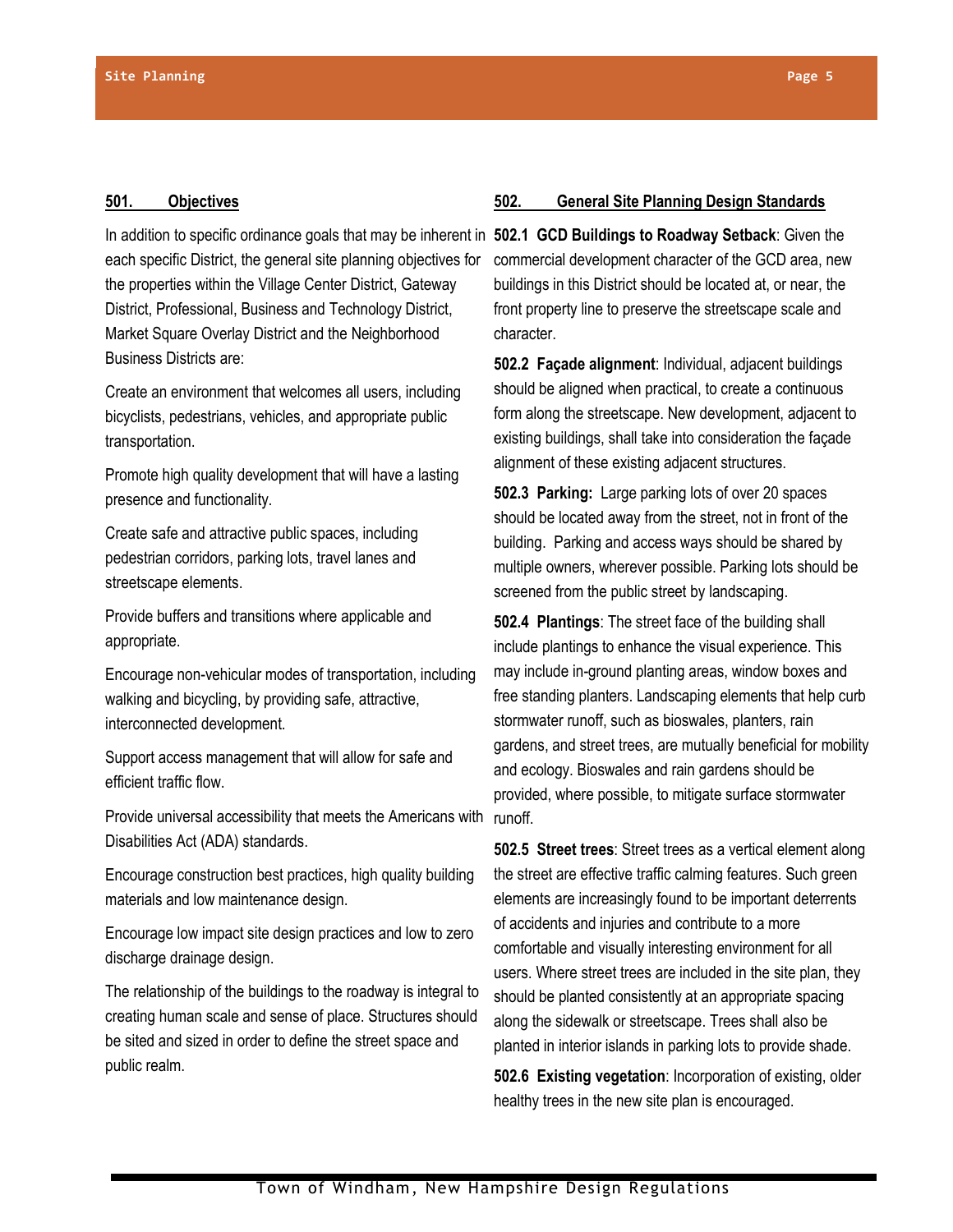#### **501. Objectives**

In addition to specific ordinance goals that may be inherent in **502.1 GCD Buildings to Roadway Setback**: Given the each specific District, the general site planning objectives for the properties within the Village Center District, Gateway District, Professional, Business and Technology District, Market Square Overlay District and the Neighborhood Business Districts are:

Create an environment that welcomes all users, including bicyclists, pedestrians, vehicles, and appropriate public transportation.

Promote high quality development that will have a lasting presence and functionality.

Create safe and attractive public spaces, including pedestrian corridors, parking lots, travel lanes and streetscape elements.

Provide buffers and transitions where applicable and appropriate.

Encourage non-vehicular modes of transportation, including walking and bicycling, by providing safe, attractive, interconnected development.

Support access management that will allow for safe and efficient traffic flow.

Provide universal accessibility that meets the Americans with Disabilities Act (ADA) standards.

Encourage construction best practices, high quality building materials and low maintenance design.

Encourage low impact site design practices and low to zero discharge drainage design.

The relationship of the buildings to the roadway is integral to creating human scale and sense of place. Structures should be sited and sized in order to define the street space and public realm.

#### **502. General Site Planning Design Standards**

commercial development character of the GCD area, new buildings in this District should be located at, or near, the front property line to preserve the streetscape scale and character.

**502.2 Façade alignment**: Individual, adjacent buildings should be aligned when practical, to create a continuous form along the streetscape. New development, adjacent to existing buildings, shall take into consideration the façade alignment of these existing adjacent structures.

**502.3 Parking:** Large parking lots of over 20 spaces should be located away from the street, not in front of the building. Parking and access ways should be shared by multiple owners, wherever possible. Parking lots should be screened from the public street by landscaping.

**502.4 Plantings**: The street face of the building shall include plantings to enhance the visual experience. This may include in-ground planting areas, window boxes and free standing planters. Landscaping elements that help curb stormwater runoff, such as bioswales, planters, rain gardens, and street trees, are mutually beneficial for mobility and ecology. Bioswales and rain gardens should be provided, where possible, to mitigate surface stormwater runoff.

**502.5 Street trees**: Street trees as a vertical element along the street are effective traffic calming features. Such green elements are increasingly found to be important deterrents of accidents and injuries and contribute to a more comfortable and visually interesting environment for all users. Where street trees are included in the site plan, they should be planted consistently at an appropriate spacing along the sidewalk or streetscape. Trees shall also be planted in interior islands in parking lots to provide shade.

**502.6 Existing vegetation**: Incorporation of existing, older healthy trees in the new site plan is encouraged.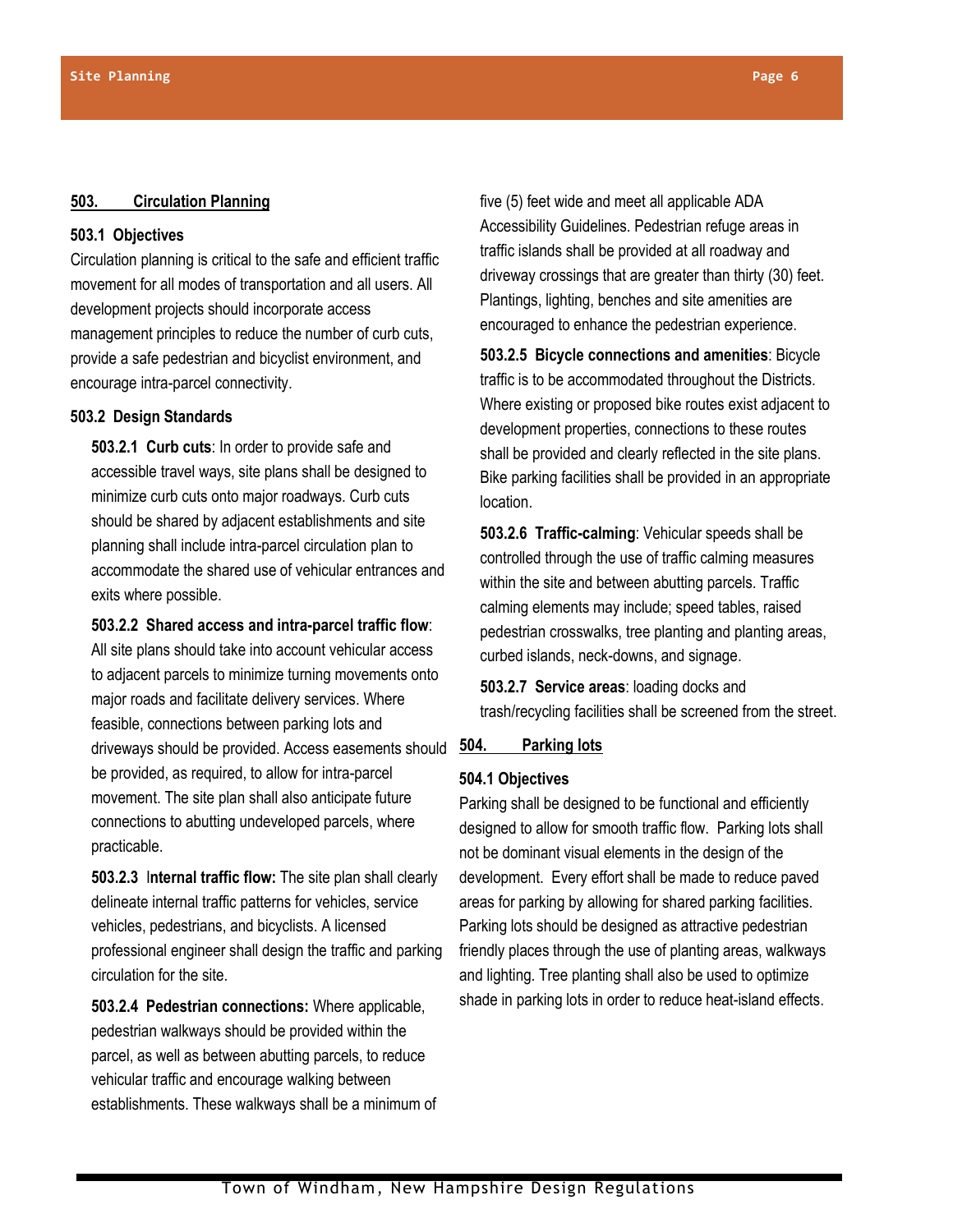#### **503. Circulation Planning**

# **503.1 Objectives**

Circulation planning is critical to the safe and efficient traffic movement for all modes of transportation and all users. All development projects should incorporate access management principles to reduce the number of curb cuts, provide a safe pedestrian and bicyclist environment, and encourage intra-parcel connectivity.

# **503.2 Design Standards**

**503.2.1 Curb cuts**: In order to provide safe and accessible travel ways, site plans shall be designed to minimize curb cuts onto major roadways. Curb cuts should be shared by adjacent establishments and site planning shall include intra-parcel circulation plan to accommodate the shared use of vehicular entrances and exits where possible.

# **503.2.2 Shared access and intra-parcel traffic flow**:

All site plans should take into account vehicular access to adjacent parcels to minimize turning movements onto major roads and facilitate delivery services. Where feasible, connections between parking lots and driveways should be provided. Access easements should be provided, as required, to allow for intra-parcel movement. The site plan shall also anticipate future connections to abutting undeveloped parcels, where practicable.

**503.2.3** I**nternal traffic flow:** The site plan shall clearly delineate internal traffic patterns for vehicles, service vehicles, pedestrians, and bicyclists. A licensed professional engineer shall design the traffic and parking circulation for the site.

**503.2.4 Pedestrian connections:** Where applicable, pedestrian walkways should be provided within the parcel, as well as between abutting parcels, to reduce vehicular traffic and encourage walking between establishments. These walkways shall be a minimum of five (5) feet wide and meet all applicable ADA Accessibility Guidelines. Pedestrian refuge areas in traffic islands shall be provided at all roadway and driveway crossings that are greater than thirty (30) feet. Plantings, lighting, benches and site amenities are encouraged to enhance the pedestrian experience.

**503.2.5 Bicycle connections and amenities**: Bicycle traffic is to be accommodated throughout the Districts. Where existing or proposed bike routes exist adjacent to development properties, connections to these routes shall be provided and clearly reflected in the site plans. Bike parking facilities shall be provided in an appropriate location.

**503.2.6 Traffic-calming**: Vehicular speeds shall be controlled through the use of traffic calming measures within the site and between abutting parcels. Traffic calming elements may include; speed tables, raised pedestrian crosswalks, tree planting and planting areas, curbed islands, neck-downs, and signage.

**503.2.7 Service areas**: loading docks and trash/recycling facilities shall be screened from the street.

# **504. Parking lots**

# **504.1 Objectives**

Parking shall be designed to be functional and efficiently designed to allow for smooth traffic flow. Parking lots shall not be dominant visual elements in the design of the development. Every effort shall be made to reduce paved areas for parking by allowing for shared parking facilities. Parking lots should be designed as attractive pedestrian friendly places through the use of planting areas, walkways and lighting. Tree planting shall also be used to optimize shade in parking lots in order to reduce heat-island effects.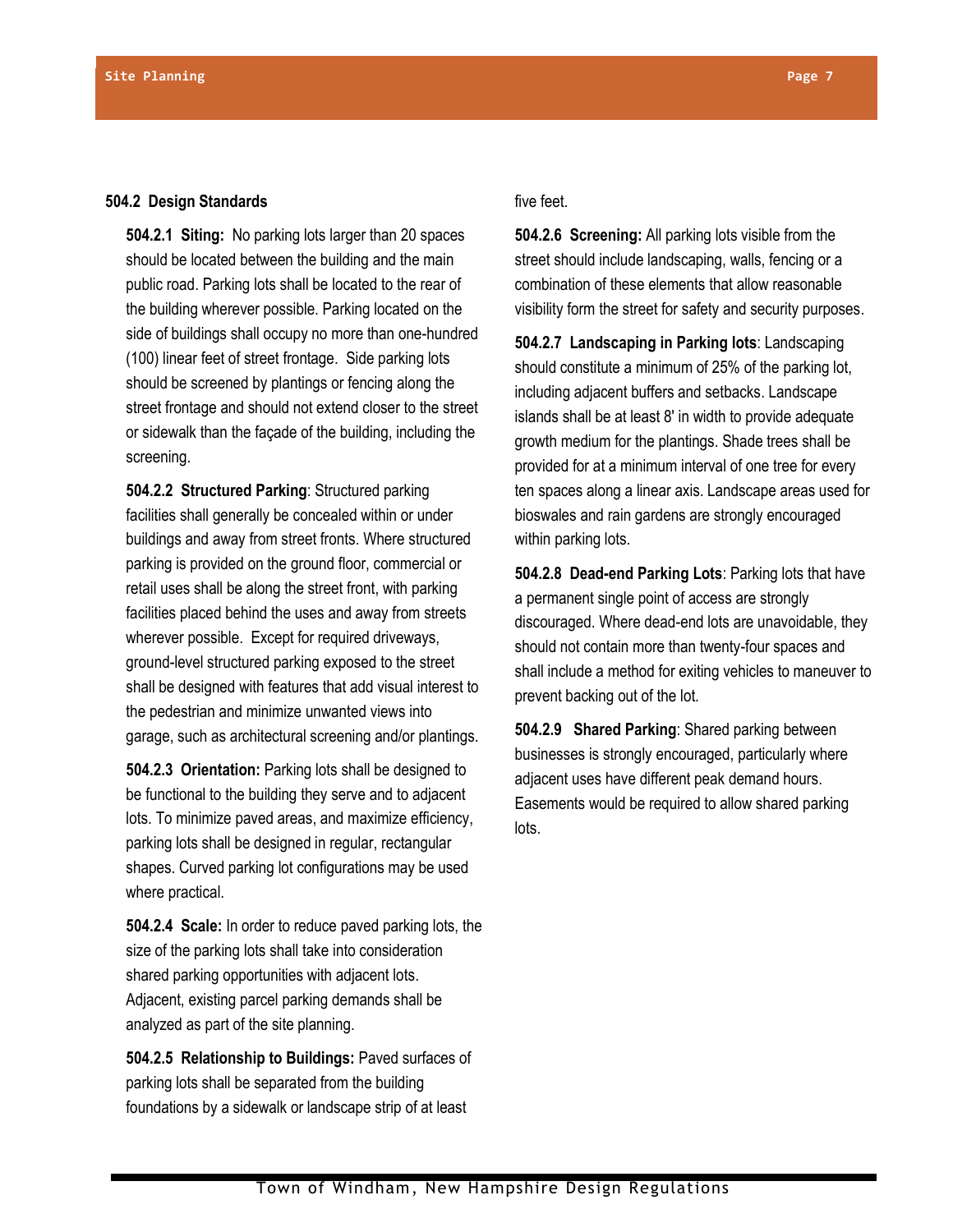#### **504.2 Design Standards**

**504.2.1 Siting:** No parking lots larger than 20 spaces should be located between the building and the main public road. Parking lots shall be located to the rear of the building wherever possible. Parking located on the side of buildings shall occupy no more than one-hundred (100) linear feet of street frontage. Side parking lots should be screened by plantings or fencing along the street frontage and should not extend closer to the street or sidewalk than the façade of the building, including the screening.

**504.2.2 Structured Parking**: Structured parking facilities shall generally be concealed within or under buildings and away from street fronts. Where structured parking is provided on the ground floor, commercial or retail uses shall be along the street front, with parking facilities placed behind the uses and away from streets wherever possible. Except for required driveways, ground-level structured parking exposed to the street shall be designed with features that add visual interest to the pedestrian and minimize unwanted views into garage, such as architectural screening and/or plantings.

**504.2.3 Orientation:** Parking lots shall be designed to be functional to the building they serve and to adjacent lots. To minimize paved areas, and maximize efficiency, parking lots shall be designed in regular, rectangular shapes. Curved parking lot configurations may be used where practical.

**504.2.4 Scale:** In order to reduce paved parking lots, the size of the parking lots shall take into consideration shared parking opportunities with adjacent lots. Adjacent, existing parcel parking demands shall be analyzed as part of the site planning.

**504.2.5 Relationship to Buildings:** Paved surfaces of parking lots shall be separated from the building foundations by a sidewalk or landscape strip of at least

#### five feet.

**504.2.6 Screening:** All parking lots visible from the street should include landscaping, walls, fencing or a combination of these elements that allow reasonable visibility form the street for safety and security purposes.

**504.2.7 Landscaping in Parking lots**: Landscaping should constitute a minimum of 25% of the parking lot, including adjacent buffers and setbacks. Landscape islands shall be at least 8' in width to provide adequate growth medium for the plantings. Shade trees shall be provided for at a minimum interval of one tree for every ten spaces along a linear axis. Landscape areas used for bioswales and rain gardens are strongly encouraged within parking lots.

**504.2.8 Dead-end Parking Lots**: Parking lots that have a permanent single point of access are strongly discouraged. Where dead-end lots are unavoidable, they should not contain more than twenty-four spaces and shall include a method for exiting vehicles to maneuver to prevent backing out of the lot.

**504.2.9 Shared Parking**: Shared parking between businesses is strongly encouraged, particularly where adjacent uses have different peak demand hours. Easements would be required to allow shared parking lots.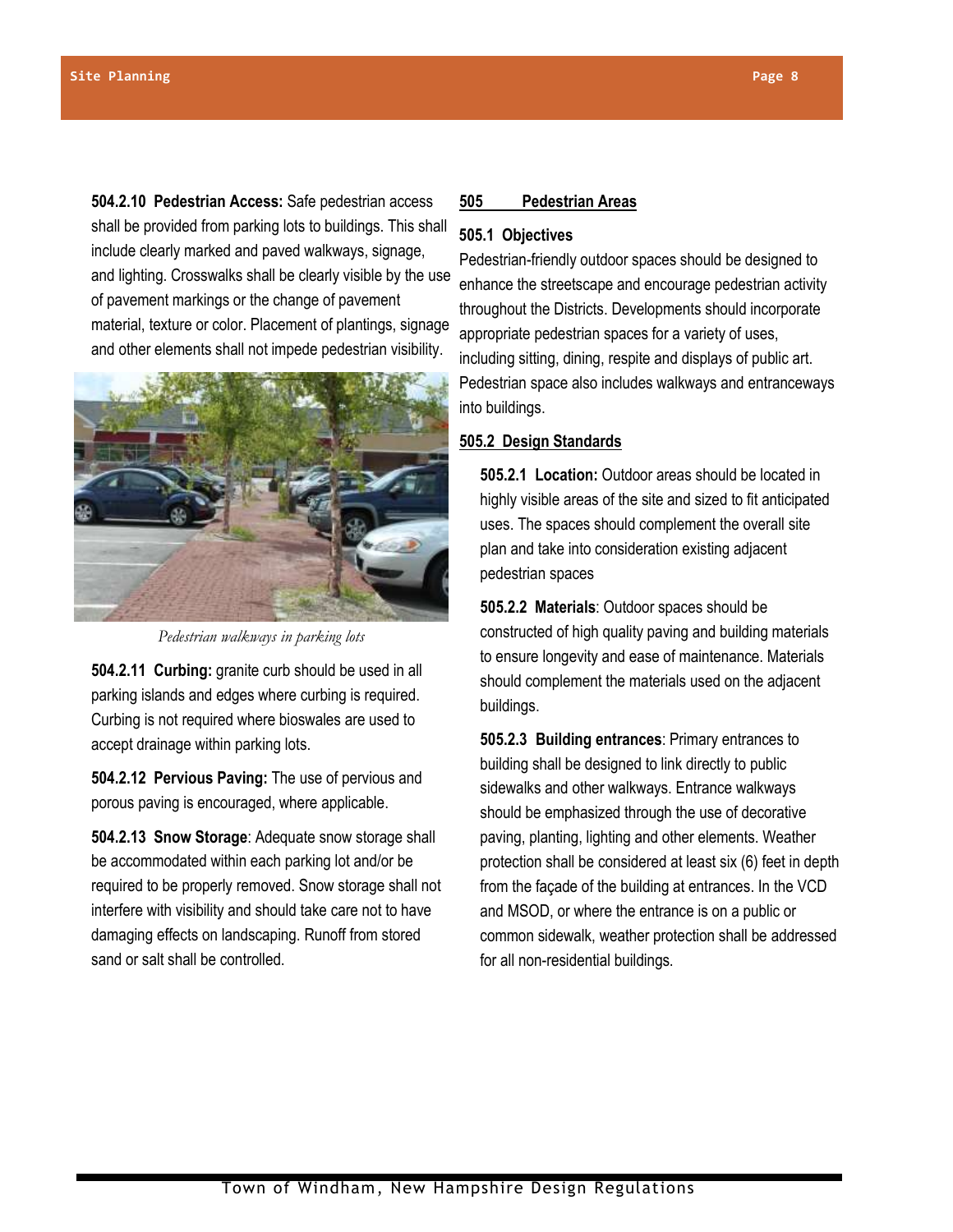**504.2.10 Pedestrian Access:** Safe pedestrian access shall be provided from parking lots to buildings. This shall include clearly marked and paved walkways, signage, and lighting. Crosswalks shall be clearly visible by the use of pavement markings or the change of pavement material, texture or color. Placement of plantings, signage and other elements shall not impede pedestrian visibility.



*Pedestrian walkways in parking lots*

**504.2.11 Curbing:** granite curb should be used in all parking islands and edges where curbing is required. Curbing is not required where bioswales are used to accept drainage within parking lots.

**504.2.12 Pervious Paving:** The use of pervious and porous paving is encouraged, where applicable.

**504.2.13 Snow Storage**: Adequate snow storage shall be accommodated within each parking lot and/or be required to be properly removed. Snow storage shall not interfere with visibility and should take care not to have damaging effects on landscaping. Runoff from stored sand or salt shall be controlled.

# **505 Pedestrian Areas**

# **505.1 Objectives**

Pedestrian-friendly outdoor spaces should be designed to enhance the streetscape and encourage pedestrian activity throughout the Districts. Developments should incorporate appropriate pedestrian spaces for a variety of uses, including sitting, dining, respite and displays of public art. Pedestrian space also includes walkways and entranceways into buildings.

# **505.2 Design Standards**

**505.2.1 Location:** Outdoor areas should be located in highly visible areas of the site and sized to fit anticipated uses. The spaces should complement the overall site plan and take into consideration existing adjacent pedestrian spaces

**505.2.2 Materials**: Outdoor spaces should be constructed of high quality paving and building materials to ensure longevity and ease of maintenance. Materials should complement the materials used on the adjacent buildings.

**505.2.3 Building entrances**: Primary entrances to building shall be designed to link directly to public sidewalks and other walkways. Entrance walkways should be emphasized through the use of decorative paving, planting, lighting and other elements. Weather protection shall be considered at least six (6) feet in depth from the façade of the building at entrances. In the VCD and MSOD, or where the entrance is on a public or common sidewalk, weather protection shall be addressed for all non-residential buildings.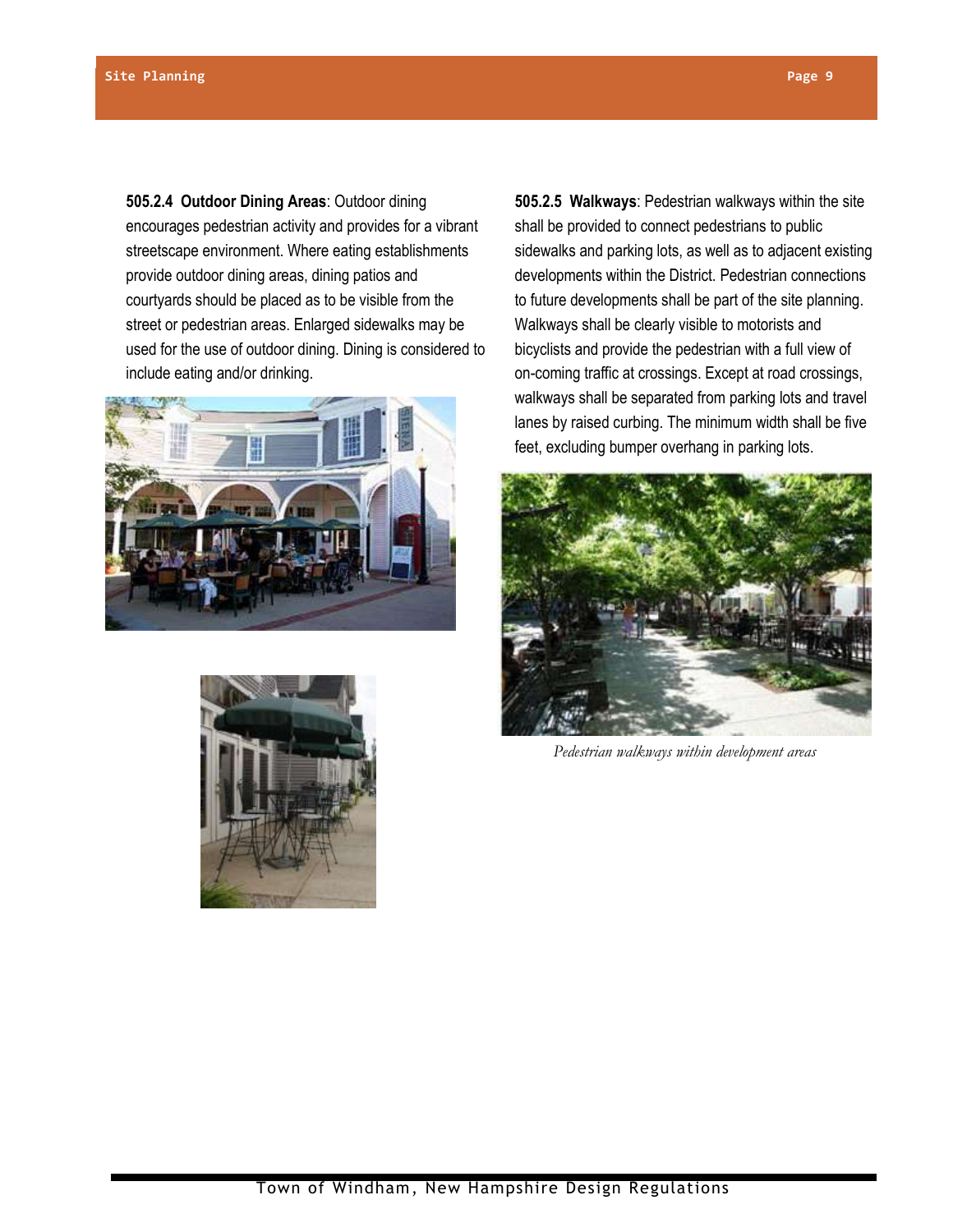**505.2.4 Outdoor Dining Areas**: Outdoor dining encourages pedestrian activity and provides for a vibrant streetscape environment. Where eating establishments provide outdoor dining areas, dining patios and courtyards should be placed as to be visible from the street or pedestrian areas. Enlarged sidewalks may be used for the use of outdoor dining. Dining is considered to include eating and/or drinking.





**505.2.5 Walkways**: Pedestrian walkways within the site shall be provided to connect pedestrians to public sidewalks and parking lots, as well as to adjacent existing developments within the District. Pedestrian connections to future developments shall be part of the site planning. Walkways shall be clearly visible to motorists and bicyclists and provide the pedestrian with a full view of on-coming traffic at crossings. Except at road crossings, walkways shall be separated from parking lots and travel lanes by raised curbing. The minimum width shall be five feet, excluding bumper overhang in parking lots.



*Pedestrian walkways within development areas*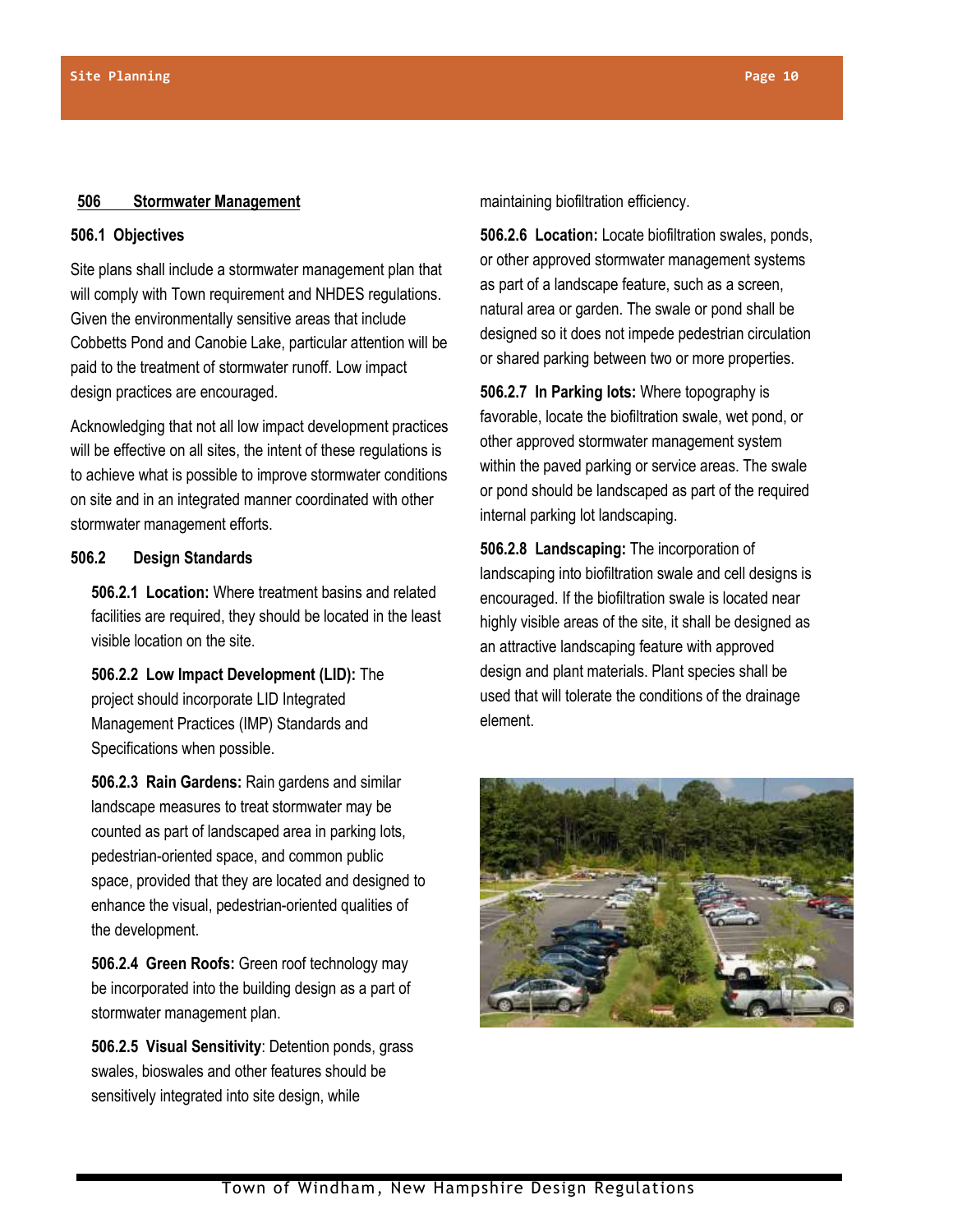#### **506 Stormwater Management**

# **506.1 Objectives**

Site plans shall include a stormwater management plan that will comply with Town requirement and NHDES regulations. Given the environmentally sensitive areas that include Cobbetts Pond and Canobie Lake, particular attention will be paid to the treatment of stormwater runoff. Low impact design practices are encouraged.

Acknowledging that not all low impact development practices will be effective on all sites, the intent of these regulations is to achieve what is possible to improve stormwater conditions on site and in an integrated manner coordinated with other stormwater management efforts.

# **506.2 Design Standards**

**506.2.1 Location:** Where treatment basins and related facilities are required, they should be located in the least visible location on the site.

**506.2.2 Low Impact Development (LID):** The project should incorporate LID Integrated Management Practices (IMP) Standards and Specifications when possible.

**506.2.3 Rain Gardens:** Rain gardens and similar landscape measures to treat stormwater may be counted as part of landscaped area in parking lots, pedestrian-oriented space, and common public space, provided that they are located and designed to enhance the visual, pedestrian-oriented qualities of the development.

**506.2.4 Green Roofs:** Green roof technology may be incorporated into the building design as a part of stormwater management plan.

**506.2.5 Visual Sensitivity**: Detention ponds, grass swales, bioswales and other features should be sensitively integrated into site design, while

maintaining biofiltration efficiency.

**506.2.6 Location:** Locate biofiltration swales, ponds, or other approved stormwater management systems as part of a landscape feature, such as a screen, natural area or garden. The swale or pond shall be designed so it does not impede pedestrian circulation or shared parking between two or more properties.

**506.2.7 In Parking lots:** Where topography is favorable, locate the biofiltration swale, wet pond, or other approved stormwater management system within the paved parking or service areas. The swale or pond should be landscaped as part of the required internal parking lot landscaping.

**506.2.8 Landscaping:** The incorporation of landscaping into biofiltration swale and cell designs is encouraged. If the biofiltration swale is located near highly visible areas of the site, it shall be designed as an attractive landscaping feature with approved design and plant materials. Plant species shall be used that will tolerate the conditions of the drainage element.

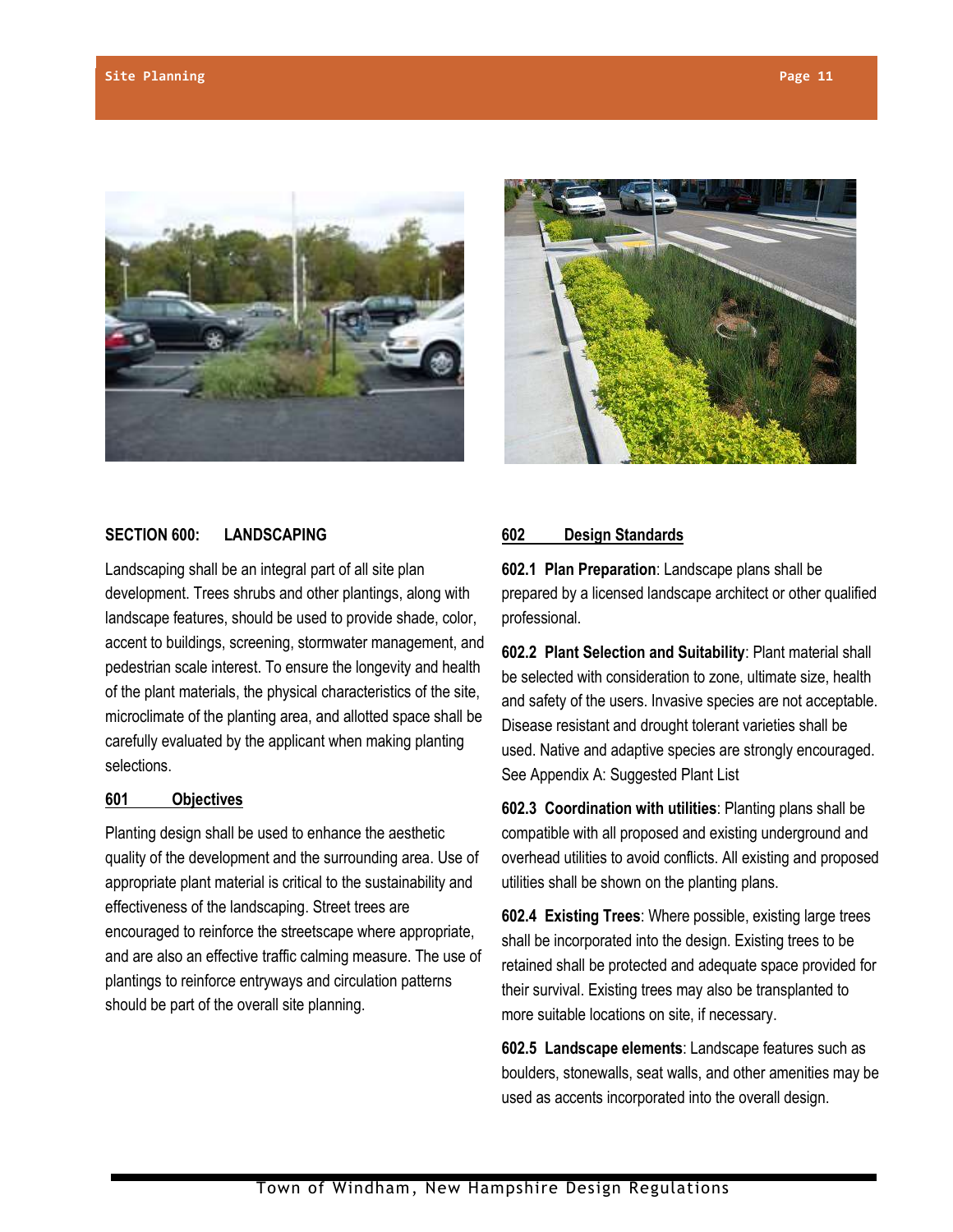



# **SECTION 600: LANDSCAPING**

Landscaping shall be an integral part of all site plan development. Trees shrubs and other plantings, along with landscape features, should be used to provide shade, color, accent to buildings, screening, stormwater management, and pedestrian scale interest. To ensure the longevity and health of the plant materials, the physical characteristics of the site, microclimate of the planting area, and allotted space shall be carefully evaluated by the applicant when making planting selections.

# **601 Objectives**

Planting design shall be used to enhance the aesthetic quality of the development and the surrounding area. Use of appropriate plant material is critical to the sustainability and effectiveness of the landscaping. Street trees are encouraged to reinforce the streetscape where appropriate, and are also an effective traffic calming measure. The use of plantings to reinforce entryways and circulation patterns should be part of the overall site planning.

# **602 Design Standards**

**602.1 Plan Preparation**: Landscape plans shall be prepared by a licensed landscape architect or other qualified professional.

**602.2 Plant Selection and Suitability**: Plant material shall be selected with consideration to zone, ultimate size, health and safety of the users. Invasive species are not acceptable. Disease resistant and drought tolerant varieties shall be used. Native and adaptive species are strongly encouraged. See Appendix A: Suggested Plant List

**602.3 Coordination with utilities**: Planting plans shall be compatible with all proposed and existing underground and overhead utilities to avoid conflicts. All existing and proposed utilities shall be shown on the planting plans.

**602.4 Existing Trees**: Where possible, existing large trees shall be incorporated into the design. Existing trees to be retained shall be protected and adequate space provided for their survival. Existing trees may also be transplanted to more suitable locations on site, if necessary.

**602.5 Landscape elements**: Landscape features such as boulders, stonewalls, seat walls, and other amenities may be used as accents incorporated into the overall design.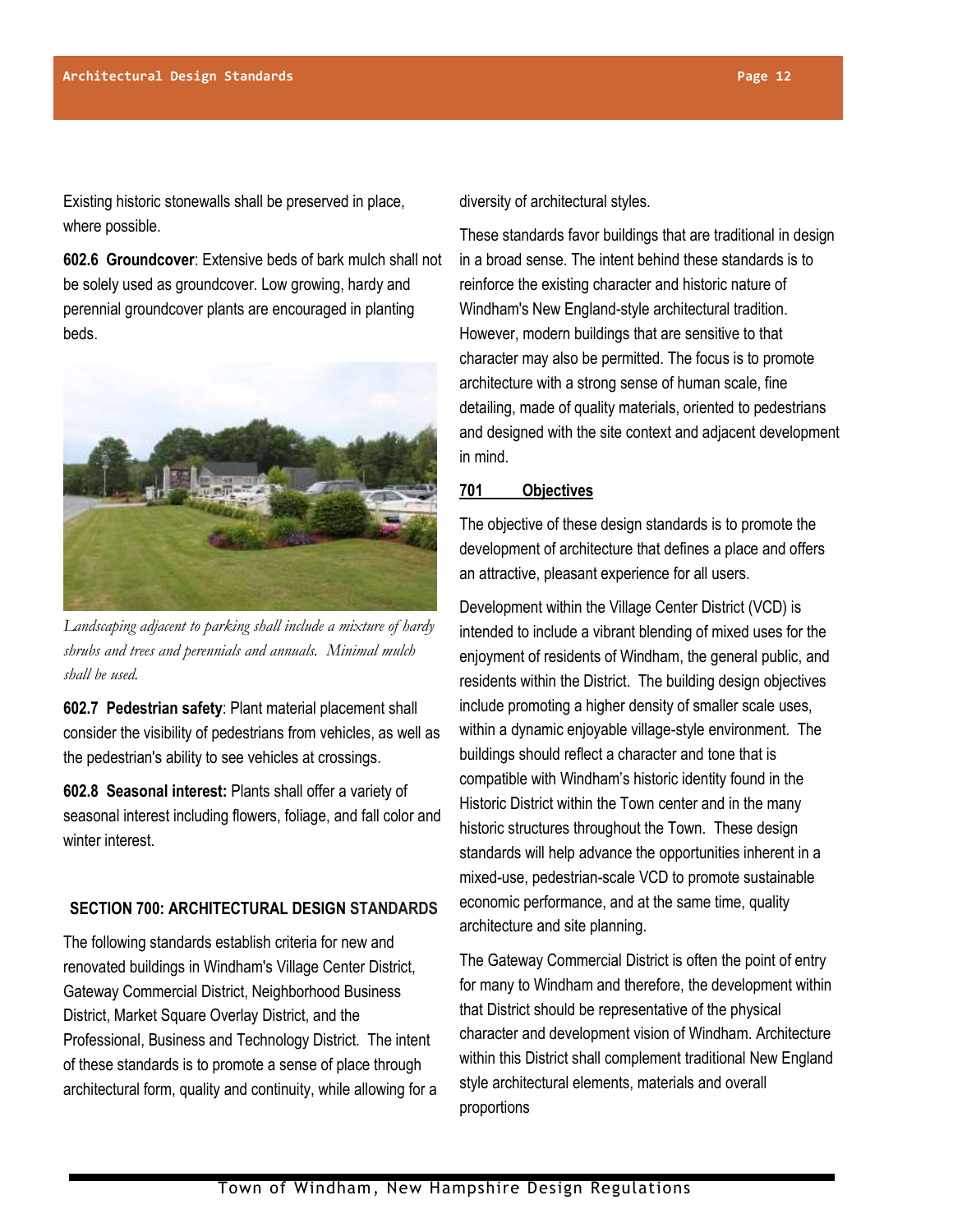Existing historic stonewalls shall be preserved in place, where possible.

**602.6 Groundcover**: Extensive beds of bark mulch shall not be solely used as groundcover. Low growing, hardy and perennial groundcover plants are encouraged in planting beds.



*Landscaping adjacent to parking shall include a mixture of hardy shrubs and trees and perennials and annuals. Minimal mulch shall be used.*

**602.7 Pedestrian safety**: Plant material placement shall consider the visibility of pedestrians from vehicles, as well as the pedestrian's ability to see vehicles at crossings.

**602.8 Seasonal interest:** Plants shall offer a variety of seasonal interest including flowers, foliage, and fall color and winter interest.

# **SECTION 700: ARCHITECTURAL DESIGN STANDARDS**

The following standards establish criteria for new and renovated buildings in Windham's Village Center District, Gateway Commercial District, Neighborhood Business District, Market Square Overlay District, and the Professional, Business and Technology District. The intent of these standards is to promote a sense of place through architectural form, quality and continuity, while allowing for a diversity of architectural styles.

These standards favor buildings that are traditional in design in a broad sense. The intent behind these standards is to reinforce the existing character and historic nature of Windham's New England-style architectural tradition. However, modern buildings that are sensitive to that character may also be permitted. The focus is to promote architecture with a strong sense of human scale, fine detailing, made of quality materials, oriented to pedestrians and designed with the site context and adjacent development in mind.

# **701 Objectives**

The objective of these design standards is to promote the development of architecture that defines a place and offers an attractive, pleasant experience for all users.

Development within the Village Center District (VCD) is intended to include a vibrant blending of mixed uses for the enjoyment of residents of Windham, the general public, and residents within the District. The building design objectives include promoting a higher density of smaller scale uses, within a dynamic enjoyable village-style environment. The buildings should reflect a character and tone that is compatible with Windham's historic identity found in the Historic District within the Town center and in the many historic structures throughout the Town. These design standards will help advance the opportunities inherent in a mixed-use, pedestrian-scale VCD to promote sustainable economic performance, and at the same time, quality architecture and site planning.

The Gateway Commercial District is often the point of entry for many to Windham and therefore, the development within that District should be representative of the physical character and development vision of Windham. Architecture within this District shall complement traditional New England style architectural elements, materials and overall proportions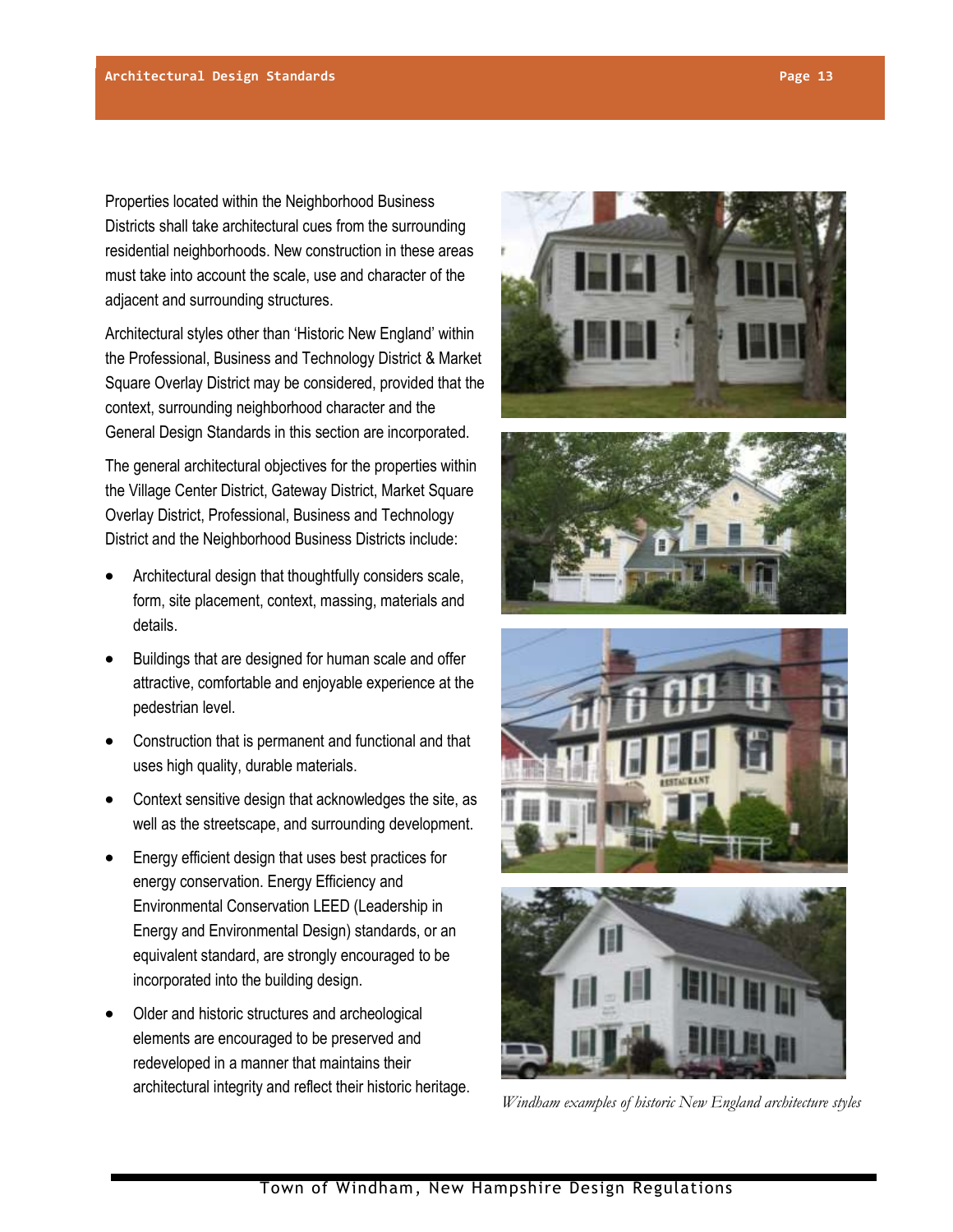Properties located within the Neighborhood Business Districts shall take architectural cues from the surrounding residential neighborhoods. New construction in these areas must take into account the scale, use and character of the adjacent and surrounding structures.

Architectural styles other than 'Historic New England' within the Professional, Business and Technology District & Market Square Overlay District may be considered, provided that the context, surrounding neighborhood character and the General Design Standards in this section are incorporated.

The general architectural objectives for the properties within the Village Center District, Gateway District, Market Square Overlay District, Professional, Business and Technology District and the Neighborhood Business Districts include:

- Architectural design that thoughtfully considers scale, form, site placement, context, massing, materials and details.
- Buildings that are designed for human scale and offer attractive, comfortable and enjoyable experience at the pedestrian level.
- Construction that is permanent and functional and that uses high quality, durable materials.
- Context sensitive design that acknowledges the site, as well as the streetscape, and surrounding development.
- Energy efficient design that uses best practices for energy conservation. Energy Efficiency and Environmental Conservation LEED (Leadership in Energy and Environmental Design) standards, or an equivalent standard, are strongly encouraged to be incorporated into the building design.
- Older and historic structures and archeological elements are encouraged to be preserved and redeveloped in a manner that maintains their architectural integrity and reflect their historic heritage.









*Windham examples of historic New England architecture styles*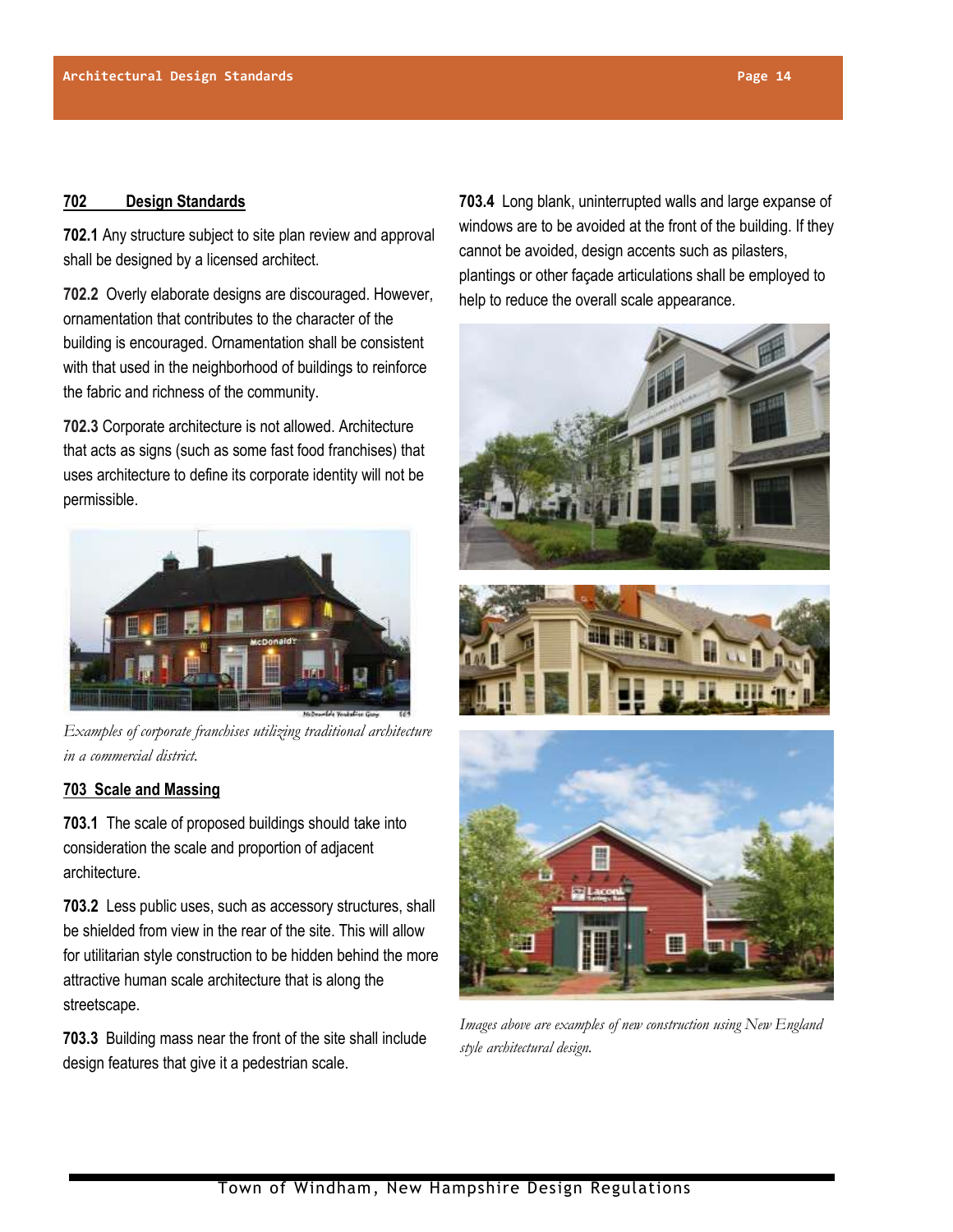#### **702 Design Standards**

**702.1** Any structure subject to site plan review and approval shall be designed by a licensed architect.

**702.2** Overly elaborate designs are discouraged. However, ornamentation that contributes to the character of the building is encouraged. Ornamentation shall be consistent with that used in the neighborhood of buildings to reinforce the fabric and richness of the community.

**702.3** Corporate architecture is not allowed. Architecture that acts as signs (such as some fast food franchises) that uses architecture to define its corporate identity will not be permissible.



*Examples of corporate franchises utilizing traditional architecture in a commercial district.*

# **703 Scale and Massing**

**703.1** The scale of proposed buildings should take into consideration the scale and proportion of adjacent architecture.

**703.2** Less public uses, such as accessory structures, shall be shielded from view in the rear of the site. This will allow for utilitarian style construction to be hidden behind the more attractive human scale architecture that is along the streetscape.

**703.3** Building mass near the front of the site shall include design features that give it a pedestrian scale.

**703.4** Long blank, uninterrupted walls and large expanse of windows are to be avoided at the front of the building. If they cannot be avoided, design accents such as pilasters, plantings or other façade articulations shall be employed to help to reduce the overall scale appearance.







*Images above are examples of new construction using New England style architectural design.*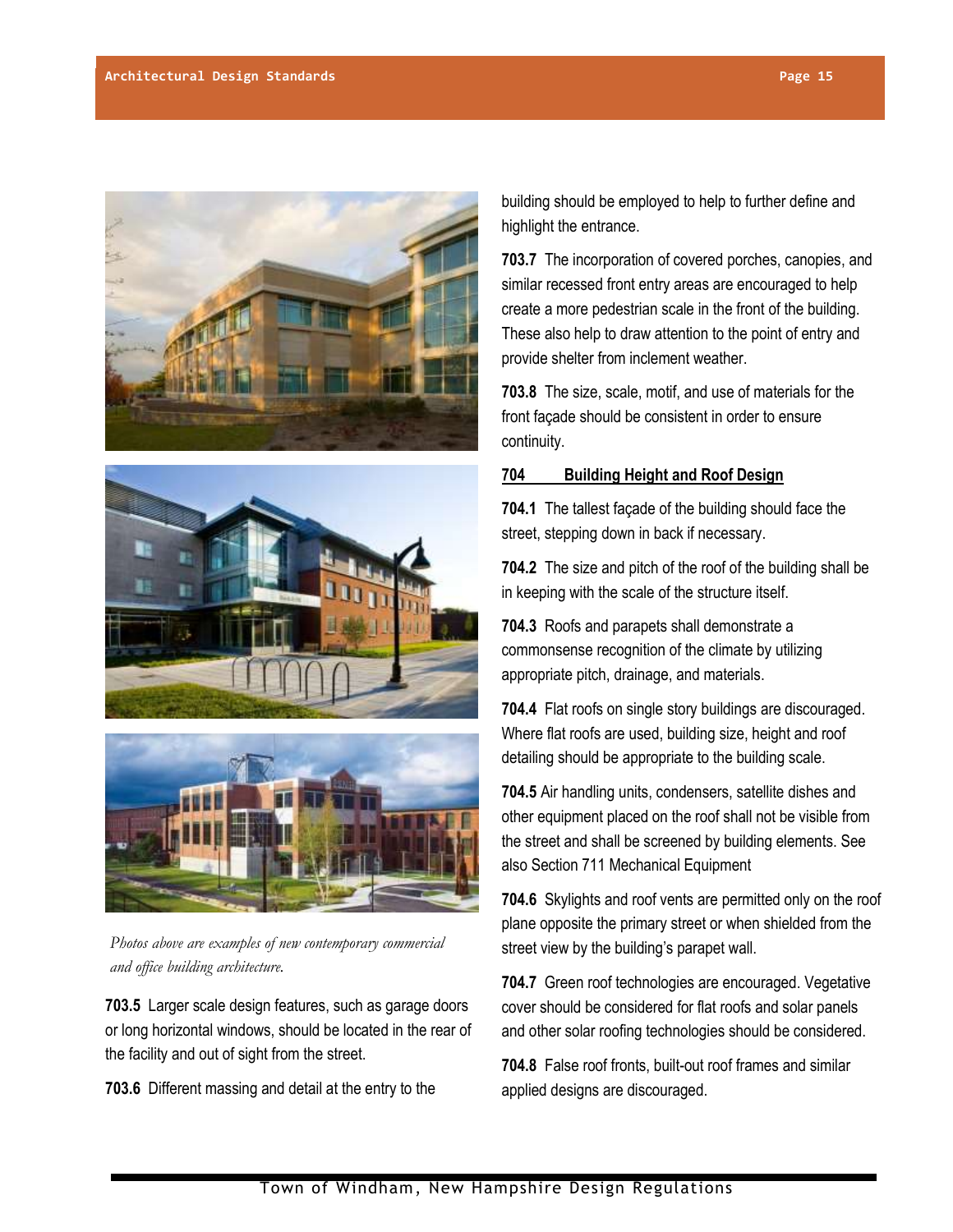





*Photos above are examples of new contemporary commercial and office building architecture.*

**703.5** Larger scale design features, such as garage doors or long horizontal windows, should be located in the rear of the facility and out of sight from the street.

**703.6** Different massing and detail at the entry to the

building should be employed to help to further define and highlight the entrance.

**703.7** The incorporation of covered porches, canopies, and similar recessed front entry areas are encouraged to help create a more pedestrian scale in the front of the building. These also help to draw attention to the point of entry and provide shelter from inclement weather.

**703.8** The size, scale, motif, and use of materials for the front façade should be consistent in order to ensure continuity.

# **704 Building Height and Roof Design**

**704.1** The tallest façade of the building should face the street, stepping down in back if necessary.

**704.2** The size and pitch of the roof of the building shall be in keeping with the scale of the structure itself.

**704.3** Roofs and parapets shall demonstrate a commonsense recognition of the climate by utilizing appropriate pitch, drainage, and materials.

**704.4** Flat roofs on single story buildings are discouraged. Where flat roofs are used, building size, height and roof detailing should be appropriate to the building scale.

**704.5** Air handling units, condensers, satellite dishes and other equipment placed on the roof shall not be visible from the street and shall be screened by building elements. See also Section 711 Mechanical Equipment

**704.6** Skylights and roof vents are permitted only on the roof plane opposite the primary street or when shielded from the street view by the building's parapet wall.

**704.7** Green roof technologies are encouraged. Vegetative cover should be considered for flat roofs and solar panels and other solar roofing technologies should be considered.

**704.8** False roof fronts, built-out roof frames and similar applied designs are discouraged.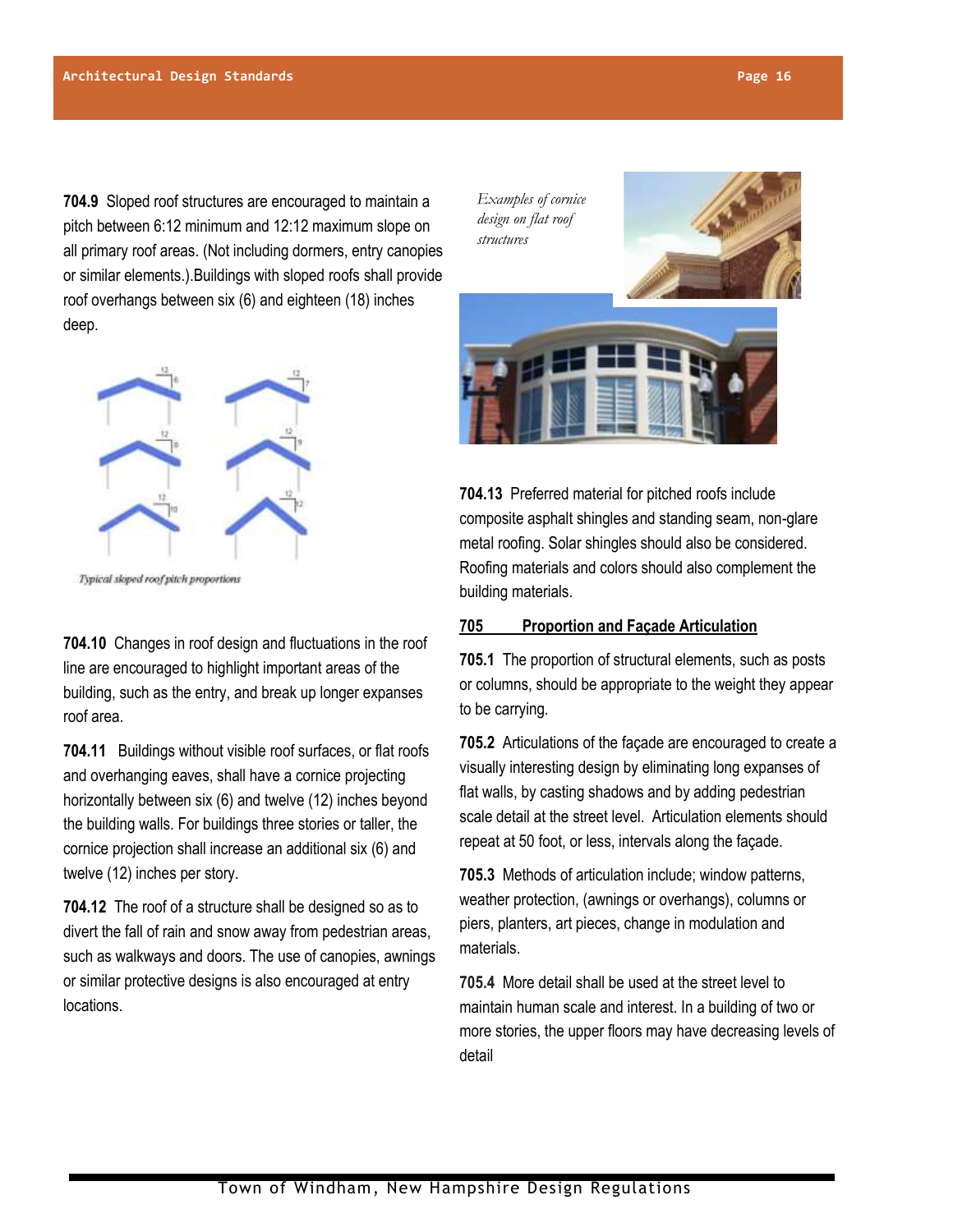**704.9** Sloped roof structures are encouraged to maintain a pitch between 6:12 minimum and 12:12 maximum slope on all primary roof areas. (Not including dormers, entry canopies or similar elements.).Buildings with sloped roofs shall provide roof overhangs between six (6) and eighteen (18) inches deep.



Typical sloped roof pitch proportions

**704.10** Changes in roof design and fluctuations in the roof line are encouraged to highlight important areas of the building, such as the entry, and break up longer expanses roof area.

**704.11** Buildings without visible roof surfaces, or flat roofs and overhanging eaves, shall have a cornice projecting horizontally between six (6) and twelve (12) inches beyond the building walls. For buildings three stories or taller, the cornice projection shall increase an additional six (6) and twelve (12) inches per story.

**704.12** The roof of a structure shall be designed so as to divert the fall of rain and snow away from pedestrian areas, such as walkways and doors. The use of canopies, awnings or similar protective designs is also encouraged at entry locations.

*Examples of cornice design on flat roof structures*





**704.13** Preferred material for pitched roofs include composite asphalt shingles and standing seam, non-glare metal roofing. Solar shingles should also be considered. Roofing materials and colors should also complement the building materials.

#### **705 Proportion and Façade Articulation**

**705.1** The proportion of structural elements, such as posts or columns, should be appropriate to the weight they appear to be carrying.

**705.2** Articulations of the façade are encouraged to create a visually interesting design by eliminating long expanses of flat walls, by casting shadows and by adding pedestrian scale detail at the street level. Articulation elements should repeat at 50 foot, or less, intervals along the façade.

**705.3** Methods of articulation include; window patterns, weather protection, (awnings or overhangs), columns or piers, planters, art pieces, change in modulation and materials.

**705.4** More detail shall be used at the street level to maintain human scale and interest. In a building of two or more stories, the upper floors may have decreasing levels of detail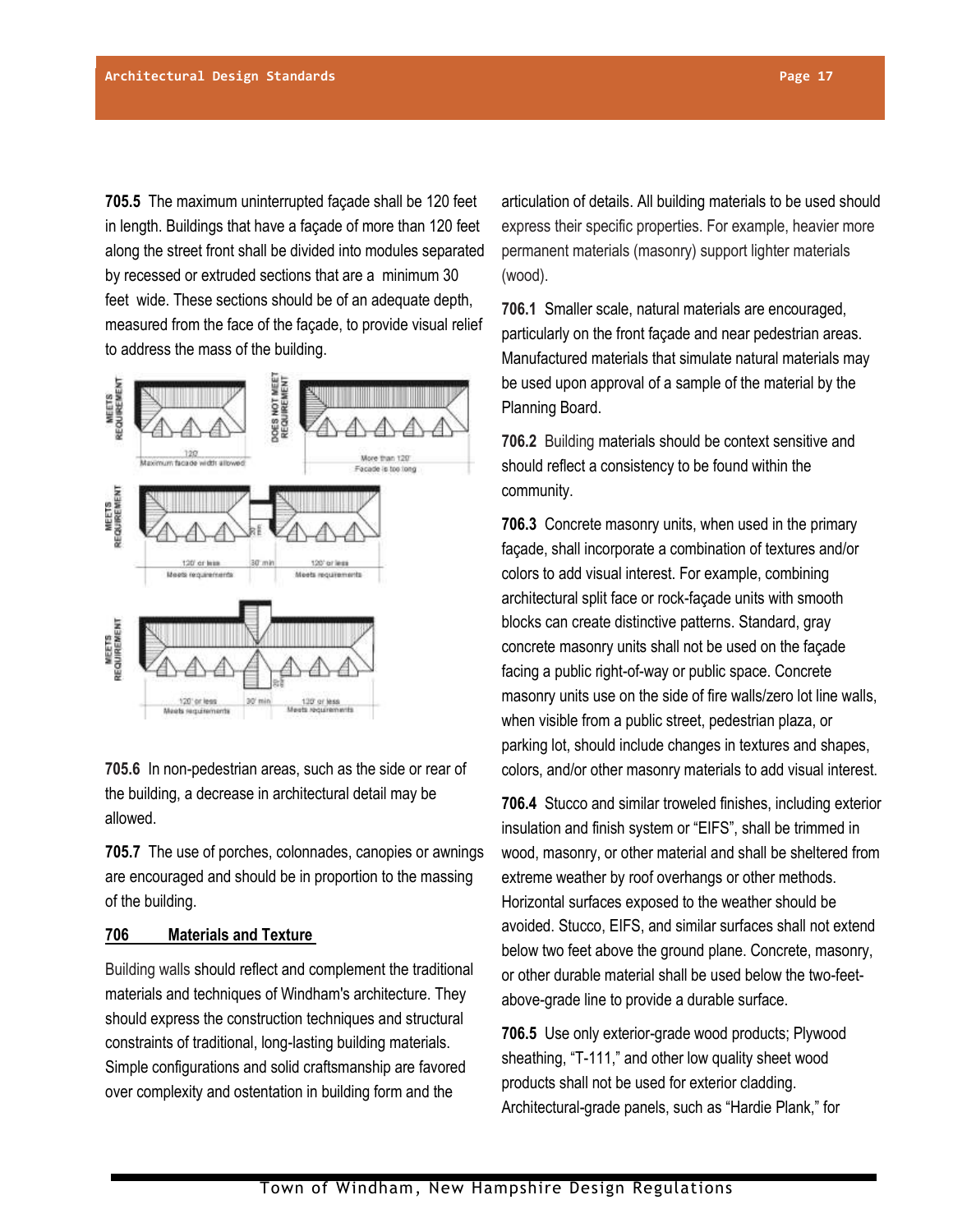**705.5** The maximum uninterrupted façade shall be 120 feet in length. Buildings that have a façade of more than 120 feet along the street front shall be divided into modules separated by recessed or extruded sections that are a minimum 30 feet wide. These sections should be of an adequate depth, measured from the face of the façade, to provide visual relief to address the mass of the building.



**705.6** In non-pedestrian areas, such as the side or rear of the building, a decrease in architectural detail may be allowed.

**705.7** The use of porches, colonnades, canopies or awnings are encouraged and should be in proportion to the massing of the building.

# **706 Materials and Texture**

Building walls should reflect and complement the traditional materials and techniques of Windham's architecture. They should express the construction techniques and structural constraints of traditional, long-lasting building materials. Simple configurations and solid craftsmanship are favored over complexity and ostentation in building form and the

articulation of details. All building materials to be used should express their specific properties. For example, heavier more permanent materials (masonry) support lighter materials (wood).

**706.1** Smaller scale, natural materials are encouraged, particularly on the front façade and near pedestrian areas. Manufactured materials that simulate natural materials may be used upon approval of a sample of the material by the Planning Board.

**706.2** Building materials should be context sensitive and should reflect a consistency to be found within the community.

**706.3** Concrete masonry units, when used in the primary façade, shall incorporate a combination of textures and/or colors to add visual interest. For example, combining architectural split face or rock-façade units with smooth blocks can create distinctive patterns. Standard, gray concrete masonry units shall not be used on the façade facing a public right-of-way or public space. Concrete masonry units use on the side of fire walls/zero lot line walls, when visible from a public street, pedestrian plaza, or parking lot, should include changes in textures and shapes, colors, and/or other masonry materials to add visual interest.

**706.4** Stucco and similar troweled finishes, including exterior insulation and finish system or "EIFS", shall be trimmed in wood, masonry, or other material and shall be sheltered from extreme weather by roof overhangs or other methods. Horizontal surfaces exposed to the weather should be avoided. Stucco, EIFS, and similar surfaces shall not extend below two feet above the ground plane. Concrete, masonry, or other durable material shall be used below the two-feetabove-grade line to provide a durable surface.

**706.5** Use only exterior-grade wood products; Plywood sheathing, "T-111," and other low quality sheet wood products shall not be used for exterior cladding. Architectural-grade panels, such as "Hardie Plank," for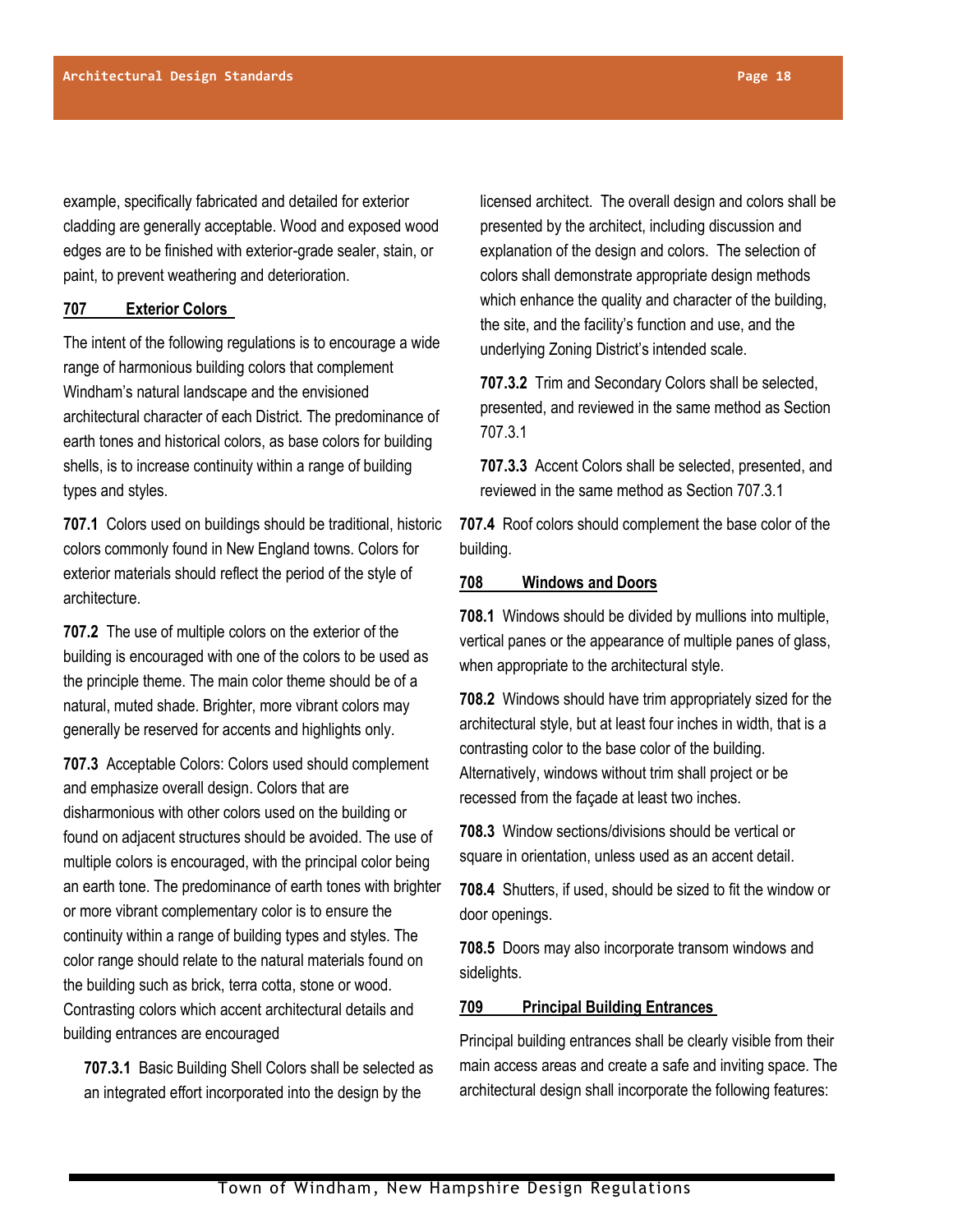example, specifically fabricated and detailed for exterior cladding are generally acceptable. Wood and exposed wood edges are to be finished with exterior-grade sealer, stain, or paint, to prevent weathering and deterioration.

# **707 Exterior Colors**

The intent of the following regulations is to encourage a wide range of harmonious building colors that complement Windham's natural landscape and the envisioned architectural character of each District. The predominance of earth tones and historical colors, as base colors for building shells, is to increase continuity within a range of building types and styles.

**707.1** Colors used on buildings should be traditional, historic colors commonly found in New England towns. Colors for exterior materials should reflect the period of the style of architecture.

**707.2** The use of multiple colors on the exterior of the building is encouraged with one of the colors to be used as the principle theme. The main color theme should be of a natural, muted shade. Brighter, more vibrant colors may generally be reserved for accents and highlights only.

**707.3** Acceptable Colors: Colors used should complement and emphasize overall design. Colors that are disharmonious with other colors used on the building or found on adjacent structures should be avoided. The use of multiple colors is encouraged, with the principal color being an earth tone. The predominance of earth tones with brighter or more vibrant complementary color is to ensure the continuity within a range of building types and styles. The color range should relate to the natural materials found on the building such as brick, terra cotta, stone or wood. Contrasting colors which accent architectural details and building entrances are encouraged

**707.3.1** Basic Building Shell Colors shall be selected as an integrated effort incorporated into the design by the

licensed architect. The overall design and colors shall be presented by the architect, including discussion and explanation of the design and colors. The selection of colors shall demonstrate appropriate design methods which enhance the quality and character of the building, the site, and the facility's function and use, and the underlying Zoning District's intended scale.

**707.3.2** Trim and Secondary Colors shall be selected, presented, and reviewed in the same method as Section 707.3.1

**707.3.3** Accent Colors shall be selected, presented, and reviewed in the same method as Section 707.3.1

**707.4** Roof colors should complement the base color of the building.

#### **708 Windows and Doors**

**708.1** Windows should be divided by mullions into multiple, vertical panes or the appearance of multiple panes of glass, when appropriate to the architectural style.

**708.2** Windows should have trim appropriately sized for the architectural style, but at least four inches in width, that is a contrasting color to the base color of the building. Alternatively, windows without trim shall project or be recessed from the façade at least two inches.

**708.3** Window sections/divisions should be vertical or square in orientation, unless used as an accent detail.

**708.4** Shutters, if used, should be sized to fit the window or door openings.

**708.5** Doors may also incorporate transom windows and sidelights.

#### **709 Principal Building Entrances**

Principal building entrances shall be clearly visible from their main access areas and create a safe and inviting space. The architectural design shall incorporate the following features: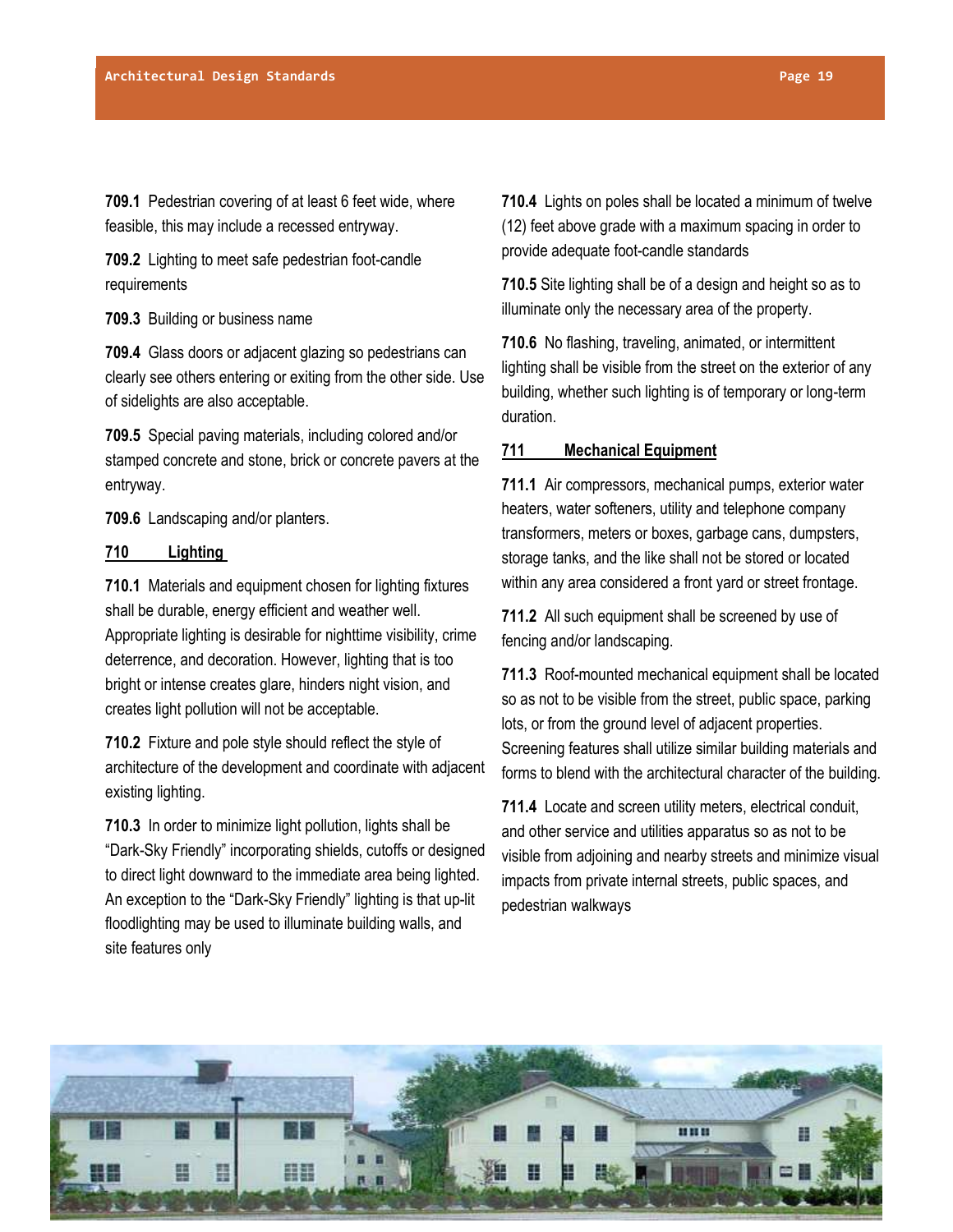**709.1** Pedestrian covering of at least 6 feet wide, where feasible, this may include a recessed entryway.

**709.2** Lighting to meet safe pedestrian foot-candle requirements

**709.3** Building or business name

**709.4** Glass doors or adjacent glazing so pedestrians can clearly see others entering or exiting from the other side. Use of sidelights are also acceptable.

**709.5** Special paving materials, including colored and/or stamped concrete and stone, brick or concrete pavers at the entryway.

**709.6** Landscaping and/or planters.

#### **710 Lighting**

**710.1** Materials and equipment chosen for lighting fixtures shall be durable, energy efficient and weather well. Appropriate lighting is desirable for nighttime visibility, crime deterrence, and decoration. However, lighting that is too bright or intense creates glare, hinders night vision, and creates light pollution will not be acceptable.

**710.2** Fixture and pole style should reflect the style of architecture of the development and coordinate with adjacent existing lighting.

**710.3** In order to minimize light pollution, lights shall be "Dark-Sky Friendly" incorporating shields, cutoffs or designed to direct light downward to the immediate area being lighted. An exception to the "Dark-Sky Friendly" lighting is that up-lit floodlighting may be used to illuminate building walls, and site features only

**710.4** Lights on poles shall be located a minimum of twelve (12) feet above grade with a maximum spacing in order to provide adequate foot-candle standards

**710.5** Site lighting shall be of a design and height so as to illuminate only the necessary area of the property.

**710.6** No flashing, traveling, animated, or intermittent lighting shall be visible from the street on the exterior of any building, whether such lighting is of temporary or long-term duration.

# **711 Mechanical Equipment**

**711.1** Air compressors, mechanical pumps, exterior water heaters, water softeners, utility and telephone company transformers, meters or boxes, garbage cans, dumpsters, storage tanks, and the like shall not be stored or located within any area considered a front yard or street frontage.

**711.2** All such equipment shall be screened by use of fencing and/or landscaping.

**711.3** Roof-mounted mechanical equipment shall be located so as not to be visible from the street, public space, parking lots, or from the ground level of adjacent properties. Screening features shall utilize similar building materials and forms to blend with the architectural character of the building.

**711.4** Locate and screen utility meters, electrical conduit, and other service and utilities apparatus so as not to be visible from adjoining and nearby streets and minimize visual impacts from private internal streets, public spaces, and pedestrian walkways

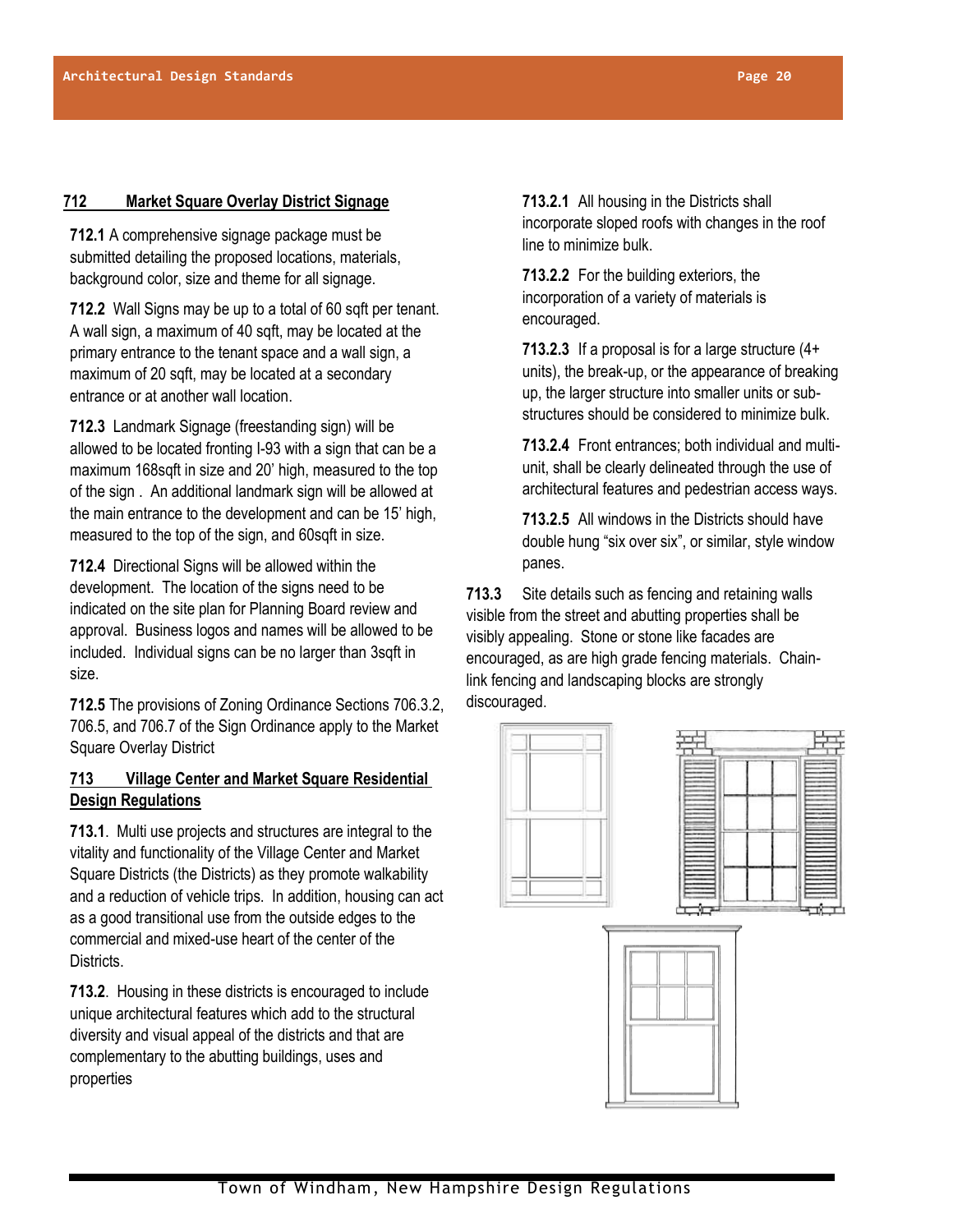# **712 Market Square Overlay District Signage**

**712.1** A comprehensive signage package must be submitted detailing the proposed locations, materials, background color, size and theme for all signage.

**712.2** Wall Signs may be up to a total of 60 sqft per tenant. A wall sign, a maximum of 40 sqft, may be located at the primary entrance to the tenant space and a wall sign, a maximum of 20 sqft, may be located at a secondary entrance or at another wall location.

**712.3** Landmark Signage (freestanding sign) will be allowed to be located fronting I-93 with a sign that can be a maximum 168sqft in size and 20' high, measured to the top of the sign . An additional landmark sign will be allowed at the main entrance to the development and can be 15' high, measured to the top of the sign, and 60sqft in size.

**712.4** Directional Signs will be allowed within the development. The location of the signs need to be indicated on the site plan for Planning Board review and approval. Business logos and names will be allowed to be included. Individual signs can be no larger than 3sqft in size.

**712.5** The provisions of Zoning Ordinance Sections 706.3.2, 706.5, and 706.7 of the Sign Ordinance apply to the Market Square Overlay District

# **713 Village Center and Market Square Residential Design Regulations**

**713.1**. Multi use projects and structures are integral to the vitality and functionality of the Village Center and Market Square Districts (the Districts) as they promote walkability and a reduction of vehicle trips. In addition, housing can act as a good transitional use from the outside edges to the commercial and mixed-use heart of the center of the Districts.

**713.2**. Housing in these districts is encouraged to include unique architectural features which add to the structural diversity and visual appeal of the districts and that are complementary to the abutting buildings, uses and properties

**713.2.1** All housing in the Districts shall incorporate sloped roofs with changes in the roof line to minimize bulk.

**713.2.2** For the building exteriors, the incorporation of a variety of materials is encouraged.

**713.2.3** If a proposal is for a large structure (4+ units), the break-up, or the appearance of breaking up, the larger structure into smaller units or substructures should be considered to minimize bulk.

**713.2.4** Front entrances; both individual and multiunit, shall be clearly delineated through the use of architectural features and pedestrian access ways.

**713.2.5** All windows in the Districts should have double hung "six over six", or similar, style window panes.

**713.3** Site details such as fencing and retaining walls visible from the street and abutting properties shall be visibly appealing. Stone or stone like facades are encouraged, as are high grade fencing materials. Chainlink fencing and landscaping blocks are strongly discouraged.

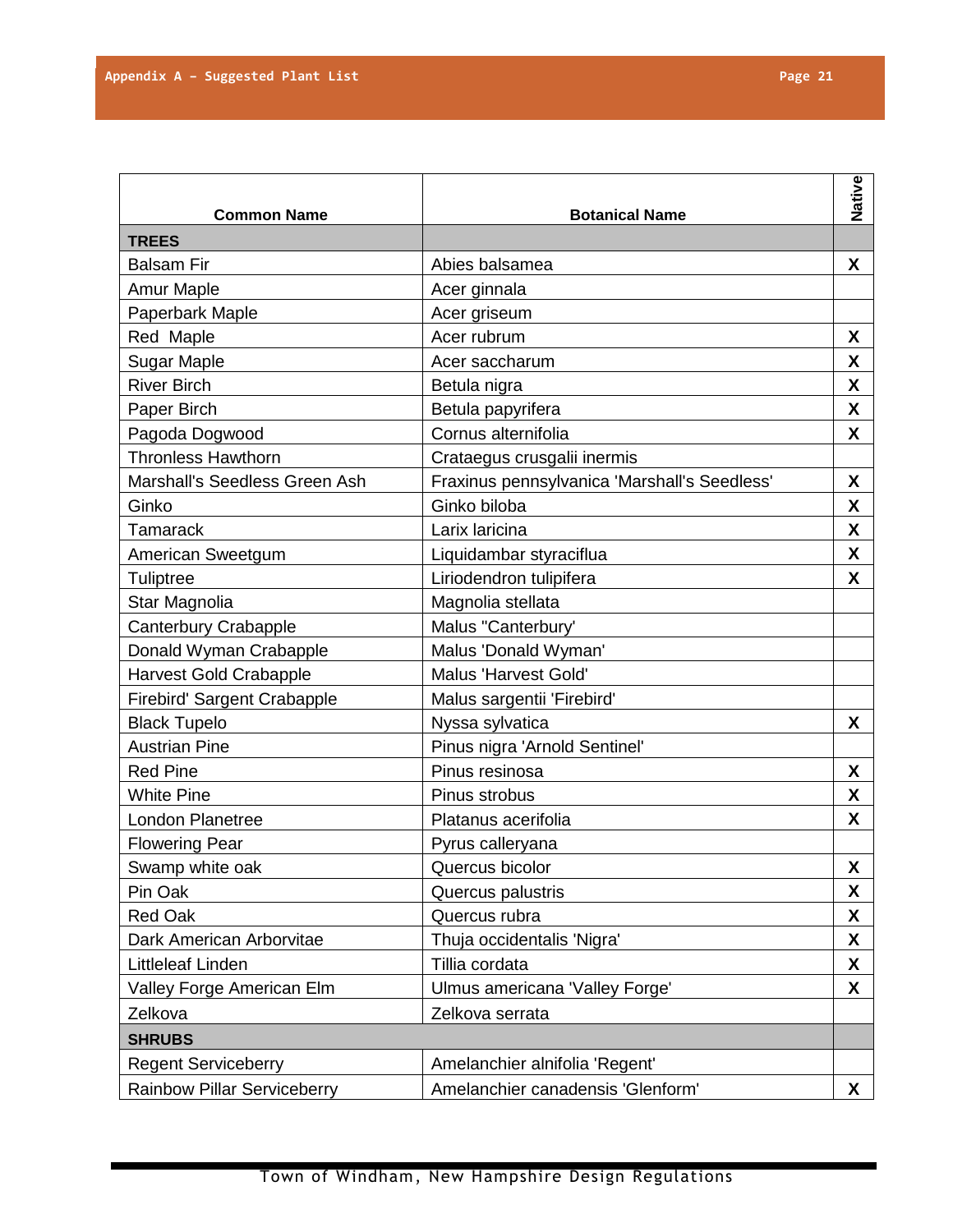|                                    |                                              | Native             |
|------------------------------------|----------------------------------------------|--------------------|
| <b>Common Name</b>                 | <b>Botanical Name</b>                        |                    |
| <b>TREES</b>                       |                                              |                    |
| <b>Balsam Fir</b>                  | Abies balsamea                               | X                  |
| <b>Amur Maple</b>                  | Acer ginnala                                 |                    |
| Paperbark Maple                    | Acer griseum                                 |                    |
| Red Maple                          | Acer rubrum                                  | X                  |
| <b>Sugar Maple</b>                 | Acer saccharum                               | X                  |
| <b>River Birch</b>                 | Betula nigra                                 | X                  |
| Paper Birch                        | Betula papyrifera                            | X                  |
| Pagoda Dogwood                     | Cornus alternifolia                          | $\pmb{\mathsf{X}}$ |
| <b>Thronless Hawthorn</b>          | Crataegus crusgalii inermis                  |                    |
| Marshall's Seedless Green Ash      | Fraxinus pennsylvanica 'Marshall's Seedless' | X                  |
| Ginko                              | Ginko biloba                                 | X                  |
| <b>Tamarack</b>                    | Larix laricina                               | X                  |
| American Sweetgum                  | Liquidambar styraciflua                      | $\pmb{\mathsf{X}}$ |
| Tuliptree                          | Liriodendron tulipifera                      | X                  |
| Star Magnolia                      | Magnolia stellata                            |                    |
| Canterbury Crabapple               | Malus "Canterbury'                           |                    |
| Donald Wyman Crabapple             | Malus 'Donald Wyman'                         |                    |
| <b>Harvest Gold Crabapple</b>      | Malus 'Harvest Gold'                         |                    |
| Firebird' Sargent Crabapple        | Malus sargentii 'Firebird'                   |                    |
| <b>Black Tupelo</b>                | Nyssa sylvatica                              | X                  |
| <b>Austrian Pine</b>               | Pinus nigra 'Arnold Sentinel'                |                    |
| <b>Red Pine</b>                    | Pinus resinosa                               | X                  |
| <b>White Pine</b>                  | Pinus strobus                                | X                  |
| <b>London Planetree</b>            | Platanus acerifolia                          | X                  |
| <b>Flowering Pear</b>              | Pyrus calleryana                             |                    |
| Swamp white oak                    | Quercus bicolor                              | $\pmb{\mathsf{X}}$ |
| Pin Oak                            | Quercus palustris                            | X                  |
| <b>Red Oak</b>                     | Quercus rubra                                | X                  |
| Dark American Arborvitae           | Thuja occidentalis 'Nigra'                   | X                  |
| Littleleaf Linden                  | Tillia cordata                               | X                  |
| Valley Forge American Elm          | Ulmus americana 'Valley Forge'               | X                  |
| Zelkova                            | Zelkova serrata                              |                    |
| <b>SHRUBS</b>                      |                                              |                    |
| <b>Regent Serviceberry</b>         | Amelanchier alnifolia 'Regent'               |                    |
| <b>Rainbow Pillar Serviceberry</b> | Amelanchier canadensis 'Glenform'            | X                  |